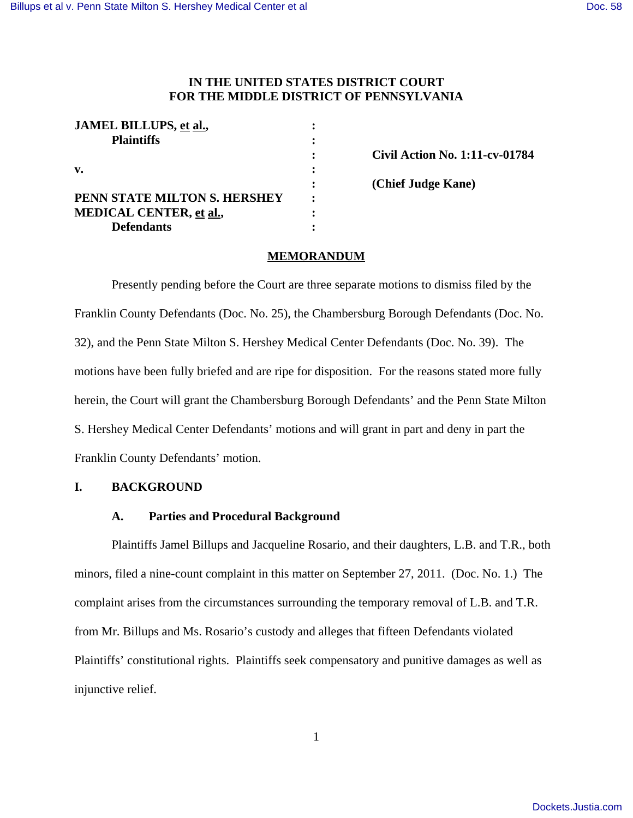# **IN THE UNITED STATES DISTRICT COURT FOR THE MIDDLE DISTRICT OF PENNSYLVANIA**

| JAMEL BILLUPS, et al.,         |  |
|--------------------------------|--|
| <b>Plaintiffs</b>              |  |
|                                |  |
| v.                             |  |
|                                |  |
| PENN STATE MILTON S. HERSHEY   |  |
| <b>MEDICAL CENTER, et al.,</b> |  |
| <b>Defendants</b>              |  |

**: Civil Action No. 1:11-cv-01784 : (Chief Judge Kane)**

## **MEMORANDUM**

Presently pending before the Court are three separate motions to dismiss filed by the Franklin County Defendants (Doc. No. 25), the Chambersburg Borough Defendants (Doc. No. 32), and the Penn State Milton S. Hershey Medical Center Defendants (Doc. No. 39). The motions have been fully briefed and are ripe for disposition. For the reasons stated more fully herein, the Court will grant the Chambersburg Borough Defendants' and the Penn State Milton S. Hershey Medical Center Defendants' motions and will grant in part and deny in part the Franklin County Defendants' motion.

### **I. BACKGROUND**

# **A. Parties and Procedural Background**

Plaintiffs Jamel Billups and Jacqueline Rosario, and their daughters, L.B. and T.R., both minors, filed a nine-count complaint in this matter on September 27, 2011. (Doc. No. 1.) The complaint arises from the circumstances surrounding the temporary removal of L.B. and T.R. from Mr. Billups and Ms. Rosario's custody and alleges that fifteen Defendants violated Plaintiffs' constitutional rights. Plaintiffs seek compensatory and punitive damages as well as injunctive relief.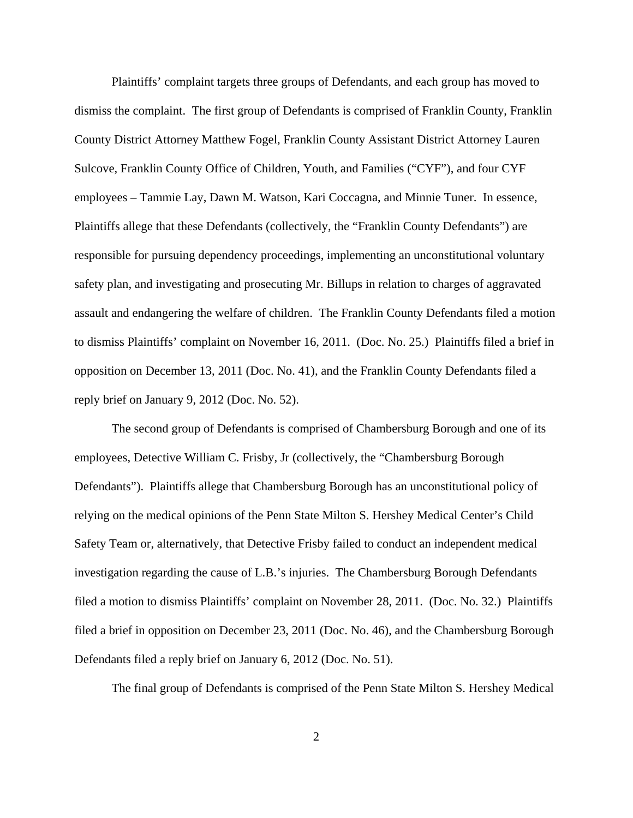Plaintiffs' complaint targets three groups of Defendants, and each group has moved to dismiss the complaint. The first group of Defendants is comprised of Franklin County, Franklin County District Attorney Matthew Fogel, Franklin County Assistant District Attorney Lauren Sulcove, Franklin County Office of Children, Youth, and Families ("CYF"), and four CYF employees – Tammie Lay, Dawn M. Watson, Kari Coccagna, and Minnie Tuner. In essence, Plaintiffs allege that these Defendants (collectively, the "Franklin County Defendants") are responsible for pursuing dependency proceedings, implementing an unconstitutional voluntary safety plan, and investigating and prosecuting Mr. Billups in relation to charges of aggravated assault and endangering the welfare of children. The Franklin County Defendants filed a motion to dismiss Plaintiffs' complaint on November 16, 2011. (Doc. No. 25.) Plaintiffs filed a brief in opposition on December 13, 2011 (Doc. No. 41), and the Franklin County Defendants filed a reply brief on January 9, 2012 (Doc. No. 52).

The second group of Defendants is comprised of Chambersburg Borough and one of its employees, Detective William C. Frisby, Jr (collectively, the "Chambersburg Borough Defendants"). Plaintiffs allege that Chambersburg Borough has an unconstitutional policy of relying on the medical opinions of the Penn State Milton S. Hershey Medical Center's Child Safety Team or, alternatively, that Detective Frisby failed to conduct an independent medical investigation regarding the cause of L.B.'s injuries. The Chambersburg Borough Defendants filed a motion to dismiss Plaintiffs' complaint on November 28, 2011. (Doc. No. 32.) Plaintiffs filed a brief in opposition on December 23, 2011 (Doc. No. 46), and the Chambersburg Borough Defendants filed a reply brief on January 6, 2012 (Doc. No. 51).

The final group of Defendants is comprised of the Penn State Milton S. Hershey Medical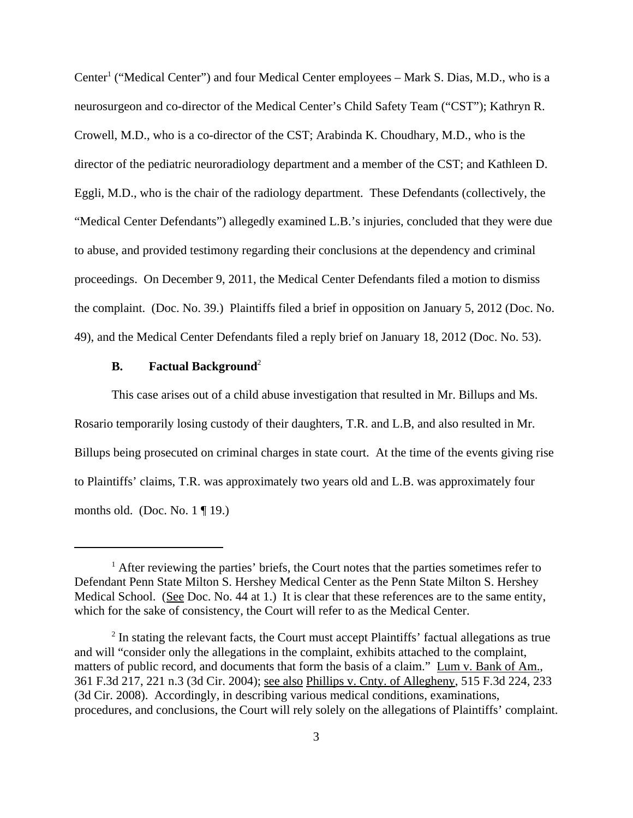Center<sup>1</sup> ("Medical Center") and four Medical Center employees - Mark S. Dias, M.D., who is a neurosurgeon and co-director of the Medical Center's Child Safety Team ("CST"); Kathryn R. Crowell, M.D., who is a co-director of the CST; Arabinda K. Choudhary, M.D., who is the director of the pediatric neuroradiology department and a member of the CST; and Kathleen D. Eggli, M.D., who is the chair of the radiology department. These Defendants (collectively, the "Medical Center Defendants") allegedly examined L.B.'s injuries, concluded that they were due to abuse, and provided testimony regarding their conclusions at the dependency and criminal proceedings. On December 9, 2011, the Medical Center Defendants filed a motion to dismiss the complaint. (Doc. No. 39.) Plaintiffs filed a brief in opposition on January 5, 2012 (Doc. No. 49), and the Medical Center Defendants filed a reply brief on January 18, 2012 (Doc. No. 53).

#### **B.** Factual Background<sup>2</sup>

This case arises out of a child abuse investigation that resulted in Mr. Billups and Ms.

Rosario temporarily losing custody of their daughters, T.R. and L.B, and also resulted in Mr. Billups being prosecuted on criminal charges in state court. At the time of the events giving rise to Plaintiffs' claims, T.R. was approximately two years old and L.B. was approximately four months old. (Doc. No.  $1 \nparallel 19$ .)

<sup>&</sup>lt;sup>1</sup> After reviewing the parties' briefs, the Court notes that the parties sometimes refer to Defendant Penn State Milton S. Hershey Medical Center as the Penn State Milton S. Hershey Medical School. (See Doc. No. 44 at 1.) It is clear that these references are to the same entity, which for the sake of consistency, the Court will refer to as the Medical Center.

<sup>&</sup>lt;sup>2</sup> In stating the relevant facts, the Court must accept Plaintiffs' factual allegations as true and will "consider only the allegations in the complaint, exhibits attached to the complaint, matters of public record, and documents that form the basis of a claim." Lum v. Bank of Am., 361 F.3d 217, 221 n.3 (3d Cir. 2004); see also Phillips v. Cnty. of Allegheny, 515 F.3d 224, 233 (3d Cir. 2008). Accordingly, in describing various medical conditions, examinations, procedures, and conclusions, the Court will rely solely on the allegations of Plaintiffs' complaint.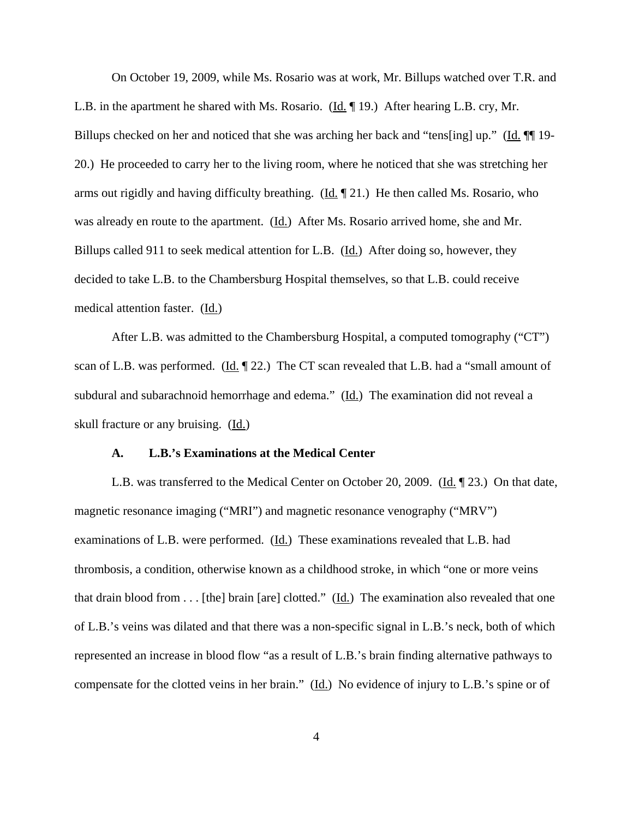On October 19, 2009, while Ms. Rosario was at work, Mr. Billups watched over T.R. and L.B. in the apartment he shared with Ms. Rosario. (Id. ¶ 19.) After hearing L.B. cry, Mr. Billups checked on her and noticed that she was arching her back and "tens[ing] up." (Id. ¶¶ 19- 20.) He proceeded to carry her to the living room, where he noticed that she was stretching her arms out rigidly and having difficulty breathing. ( $\underline{Id}$ ,  $\P$ 21.) He then called Ms. Rosario, who was already en route to the apartment. (Id.) After Ms. Rosario arrived home, she and Mr. Billups called 911 to seek medical attention for L.B. (Id.) After doing so, however, they decided to take L.B. to the Chambersburg Hospital themselves, so that L.B. could receive medical attention faster. (Id.)

After L.B. was admitted to the Chambersburg Hospital, a computed tomography ("CT") scan of L.B. was performed. (Id. 122.) The CT scan revealed that L.B. had a "small amount of subdural and subarachnoid hemorrhage and edema." (Id.)The examination did not reveal a skull fracture or any bruising. (Id.)

#### **A. L.B.'s Examinations at the Medical Center**

L.B. was transferred to the Medical Center on October 20, 2009. (Id. 123.) On that date, magnetic resonance imaging ("MRI") and magnetic resonance venography ("MRV") examinations of L.B. were performed. (Id.)These examinations revealed that L.B. had thrombosis, a condition, otherwise known as a childhood stroke, in which "one or more veins that drain blood from . . . [the] brain [are] clotted."  $(\underline{Id.})$  The examination also revealed that one of L.B.'s veins was dilated and that there was a non-specific signal in L.B.'s neck, both of which represented an increase in blood flow "as a result of L.B.'s brain finding alternative pathways to compensate for the clotted veins in her brain." (Id.) No evidence of injury to L.B.'s spine or of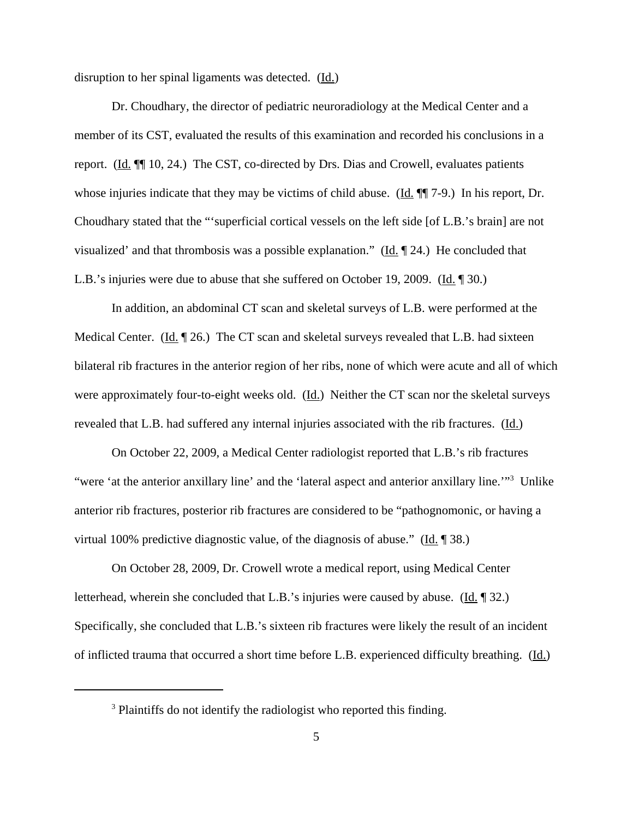disruption to her spinal ligaments was detected. (Id.)

Dr. Choudhary, the director of pediatric neuroradiology at the Medical Center and a member of its CST, evaluated the results of this examination and recorded his conclusions in a report. (Id. ¶¶ 10, 24.) The CST, co-directed by Drs. Dias and Crowell, evaluates patients whose injuries indicate that they may be victims of child abuse. ( $\underline{Id}$ ,  $\P\P$  7-9.) In his report, Dr. Choudhary stated that the "'superficial cortical vessels on the left side [of L.B.'s brain] are not visualized' and that thrombosis was a possible explanation." (Id. ¶ 24.) He concluded that L.B.'s injuries were due to abuse that she suffered on October 19, 2009. (Id. ¶ 30.)

In addition, an abdominal CT scan and skeletal surveys of L.B. were performed at the Medical Center. (Id. 126.) The CT scan and skeletal surveys revealed that L.B. had sixteen bilateral rib fractures in the anterior region of her ribs, none of which were acute and all of which were approximately four-to-eight weeks old. (Id.) Neither the CT scan nor the skeletal surveys revealed that L.B. had suffered any internal injuries associated with the rib fractures. (Id.)

On October 22, 2009, a Medical Center radiologist reported that L.B.'s rib fractures "were 'at the anterior anxillary line' and the 'lateral aspect and anterior anxillary line."<sup>3</sup> Unlike anterior rib fractures, posterior rib fractures are considered to be "pathognomonic, or having a virtual 100% predictive diagnostic value, of the diagnosis of abuse." (Id. ¶ 38.)

On October 28, 2009, Dr. Crowell wrote a medical report, using Medical Center letterhead, wherein she concluded that L.B.'s injuries were caused by abuse. (Id. ¶ 32.) Specifically, she concluded that L.B.'s sixteen rib fractures were likely the result of an incident of inflicted trauma that occurred a short time before L.B. experienced difficulty breathing. (Id.)

<sup>&</sup>lt;sup>3</sup> Plaintiffs do not identify the radiologist who reported this finding.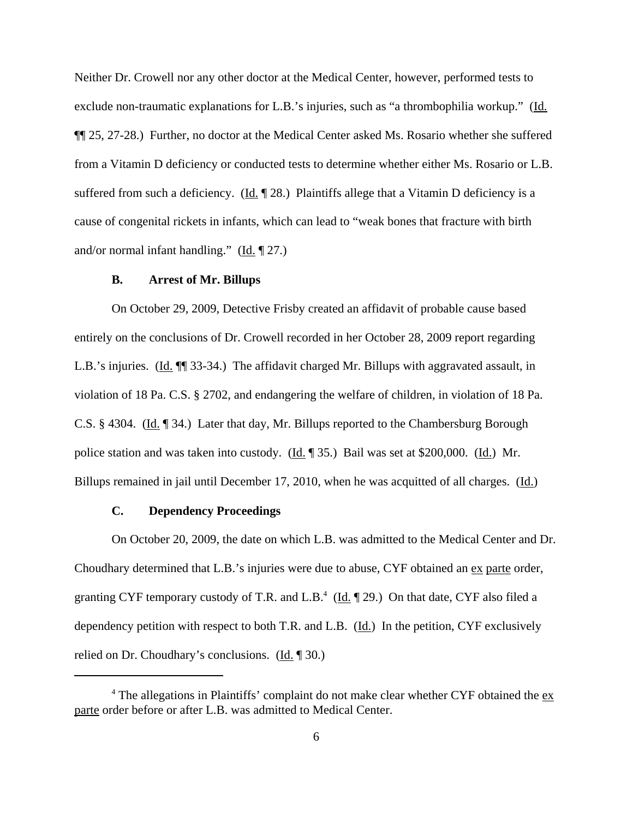Neither Dr. Crowell nor any other doctor at the Medical Center, however, performed tests to exclude non-traumatic explanations for L.B.'s injuries, such as "a thrombophilia workup." (Id. ¶¶ 25, 27-28.) Further, no doctor at the Medical Center asked Ms. Rosario whether she suffered from a Vitamin D deficiency or conducted tests to determine whether either Ms. Rosario or L.B. suffered from such a deficiency. (Id.  $\llbracket 28.$ ) Plaintiffs allege that a Vitamin D deficiency is a cause of congenital rickets in infants, which can lead to "weak bones that fracture with birth and/or normal infant handling." (Id. ¶ 27.)

#### **B. Arrest of Mr. Billups**

On October 29, 2009, Detective Frisby created an affidavit of probable cause based entirely on the conclusions of Dr. Crowell recorded in her October 28, 2009 report regarding L.B.'s injuries. (Id.  $\P$  33-34.) The affidavit charged Mr. Billups with aggravated assault, in violation of 18 Pa. C.S. § 2702, and endangering the welfare of children, in violation of 18 Pa. C.S. § 4304. (Id. ¶ 34.) Later that day, Mr. Billups reported to the Chambersburg Borough police station and was taken into custody. (Id. 135.) Bail was set at \$200,000. (Id.) Mr. Billups remained in jail until December 17, 2010, when he was acquitted of all charges. (Id.)

### **C. Dependency Proceedings**

On October 20, 2009, the date on which L.B. was admitted to the Medical Center and Dr. Choudhary determined that L.B.'s injuries were due to abuse, CYF obtained an ex parte order, granting CYF temporary custody of T.R. and L.B.<sup>4</sup> (Id. 129.) On that date, CYF also filed a dependency petition with respect to both T.R. and L.B. (Id.) In the petition, CYF exclusively relied on Dr. Choudhary's conclusions. (Id. ¶ 30.)

 $4$  The allegations in Plaintiffs' complaint do not make clear whether CYF obtained the  $ex$ parte order before or after L.B. was admitted to Medical Center.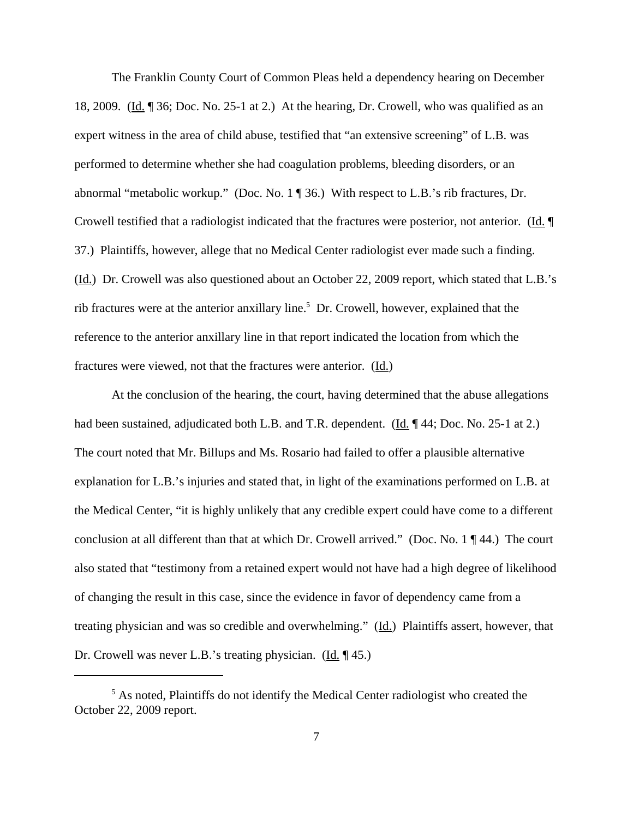The Franklin County Court of Common Pleas held a dependency hearing on December 18, 2009. (Id. 136; Doc. No. 25-1 at 2.) At the hearing, Dr. Crowell, who was qualified as an expert witness in the area of child abuse, testified that "an extensive screening" of L.B. was performed to determine whether she had coagulation problems, bleeding disorders, or an abnormal "metabolic workup." (Doc. No. 1 ¶ 36.) With respect to L.B.'s rib fractures, Dr. Crowell testified that a radiologist indicated that the fractures were posterior, not anterior. (Id. ¶ 37.) Plaintiffs, however, allege that no Medical Center radiologist ever made such a finding. (Id.) Dr. Crowell was also questioned about an October 22, 2009 report, which stated that L.B.'s rib fractures were at the anterior anxillary line.<sup>5</sup> Dr. Crowell, however, explained that the reference to the anterior anxillary line in that report indicated the location from which the fractures were viewed, not that the fractures were anterior. (Id.)

At the conclusion of the hearing, the court, having determined that the abuse allegations had been sustained, adjudicated both L.B. and T.R. dependent. (Id. ¶ 44; Doc. No. 25-1 at 2.) The court noted that Mr. Billups and Ms. Rosario had failed to offer a plausible alternative explanation for L.B.'s injuries and stated that, in light of the examinations performed on L.B. at the Medical Center, "it is highly unlikely that any credible expert could have come to a different conclusion at all different than that at which Dr. Crowell arrived." (Doc. No. 1 ¶ 44.) The court also stated that "testimony from a retained expert would not have had a high degree of likelihood of changing the result in this case, since the evidence in favor of dependency came from a treating physician and was so credible and overwhelming." (Id.) Plaintiffs assert, however, that Dr. Crowell was never L.B.'s treating physician.  $(\underline{Id}, \P 45)$ .

<sup>&</sup>lt;sup>5</sup> As noted, Plaintiffs do not identify the Medical Center radiologist who created the October 22, 2009 report.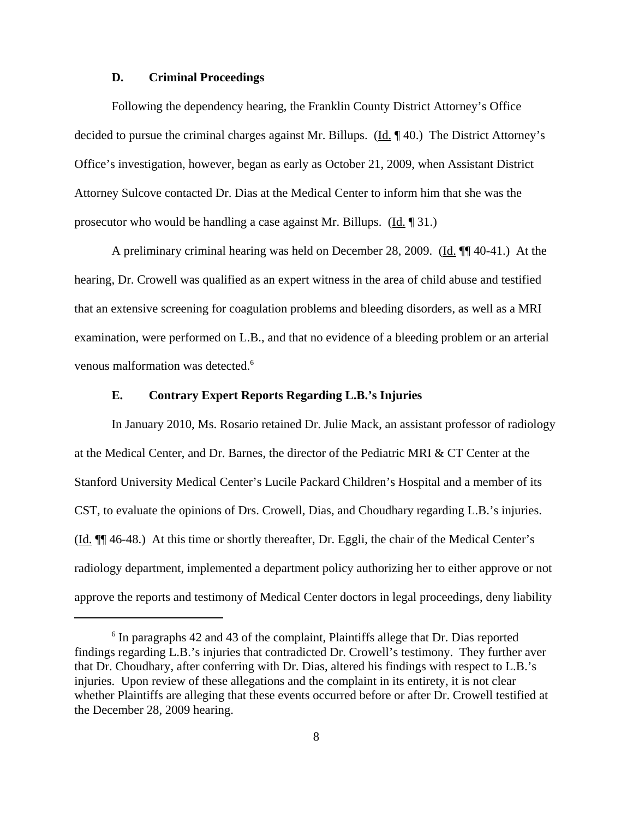#### **D. Criminal Proceedings**

Following the dependency hearing, the Franklin County District Attorney's Office decided to pursue the criminal charges against Mr. Billups. (Id. 140.) The District Attorney's Office's investigation, however, began as early as October 21, 2009, when Assistant District Attorney Sulcove contacted Dr. Dias at the Medical Center to inform him that she was the prosecutor who would be handling a case against Mr. Billups. (Id. ¶ 31.)

A preliminary criminal hearing was held on December 28, 2009. (Id. ¶¶ 40-41.) At the hearing, Dr. Crowell was qualified as an expert witness in the area of child abuse and testified that an extensive screening for coagulation problems and bleeding disorders, as well as a MRI examination, were performed on L.B., and that no evidence of a bleeding problem or an arterial venous malformation was detected.<sup>6</sup>

#### **E. Contrary Expert Reports Regarding L.B.'s Injuries**

In January 2010, Ms. Rosario retained Dr. Julie Mack, an assistant professor of radiology at the Medical Center, and Dr. Barnes, the director of the Pediatric MRI & CT Center at the Stanford University Medical Center's Lucile Packard Children's Hospital and a member of its CST, to evaluate the opinions of Drs. Crowell, Dias, and Choudhary regarding L.B.'s injuries. (Id. ¶¶ 46-48.) At this time or shortly thereafter, Dr. Eggli, the chair of the Medical Center's radiology department, implemented a department policy authorizing her to either approve or not approve the reports and testimony of Medical Center doctors in legal proceedings, deny liability

<sup>&</sup>lt;sup>6</sup> In paragraphs 42 and 43 of the complaint, Plaintiffs allege that Dr. Dias reported findings regarding L.B.'s injuries that contradicted Dr. Crowell's testimony. They further aver that Dr. Choudhary, after conferring with Dr. Dias, altered his findings with respect to L.B.'s injuries. Upon review of these allegations and the complaint in its entirety, it is not clear whether Plaintiffs are alleging that these events occurred before or after Dr. Crowell testified at the December 28, 2009 hearing.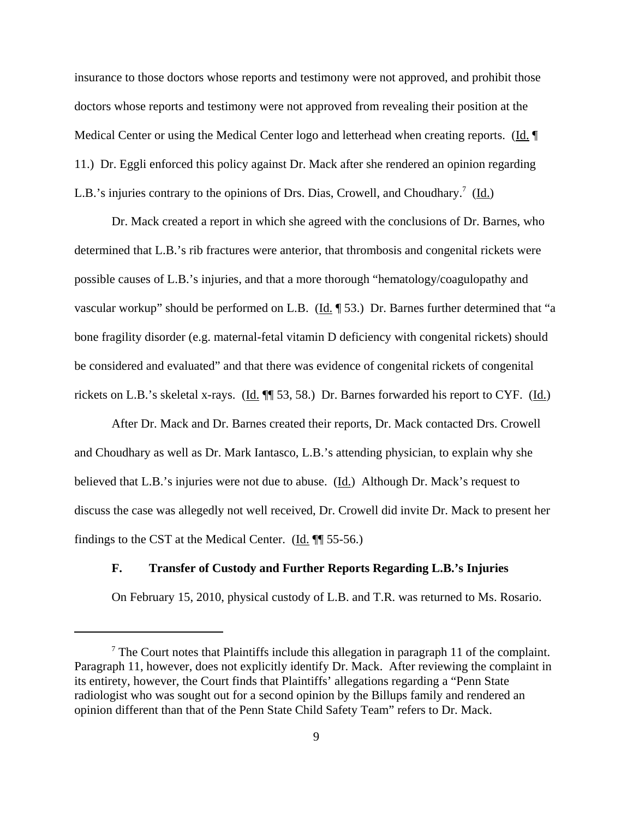insurance to those doctors whose reports and testimony were not approved, and prohibit those doctors whose reports and testimony were not approved from revealing their position at the Medical Center or using the Medical Center logo and letterhead when creating reports. (Id. ¶ 11.) Dr. Eggli enforced this policy against Dr. Mack after she rendered an opinion regarding L.B.'s injuries contrary to the opinions of Drs. Dias, Crowell, and Choudhary.<sup>7</sup> (Id.)

Dr. Mack created a report in which she agreed with the conclusions of Dr. Barnes, who determined that L.B.'s rib fractures were anterior, that thrombosis and congenital rickets were possible causes of L.B.'s injuries, and that a more thorough "hematology/coagulopathy and vascular workup" should be performed on L.B. (Id. 153.) Dr. Barnes further determined that "a bone fragility disorder (e.g. maternal-fetal vitamin D deficiency with congenital rickets) should be considered and evaluated" and that there was evidence of congenital rickets of congenital rickets on L.B.'s skeletal x-rays. (Id. ¶ 53, 58.) Dr. Barnes forwarded his report to CYF. (Id.)

After Dr. Mack and Dr. Barnes created their reports, Dr. Mack contacted Drs. Crowell and Choudhary as well as Dr. Mark Iantasco, L.B.'s attending physician, to explain why she believed that L.B.'s injuries were not due to abuse. (Id.) Although Dr. Mack's request to discuss the case was allegedly not well received, Dr. Crowell did invite Dr. Mack to present her findings to the CST at the Medical Center. ( $\underline{Id}$ .  $\P$  55-56.)

## **F. Transfer of Custody and Further Reports Regarding L.B.'s Injuries**

On February 15, 2010, physical custody of L.B. and T.R. was returned to Ms. Rosario.

 $7$  The Court notes that Plaintiffs include this allegation in paragraph 11 of the complaint. Paragraph 11, however, does not explicitly identify Dr. Mack. After reviewing the complaint in its entirety, however, the Court finds that Plaintiffs' allegations regarding a "Penn State radiologist who was sought out for a second opinion by the Billups family and rendered an opinion different than that of the Penn State Child Safety Team" refers to Dr. Mack.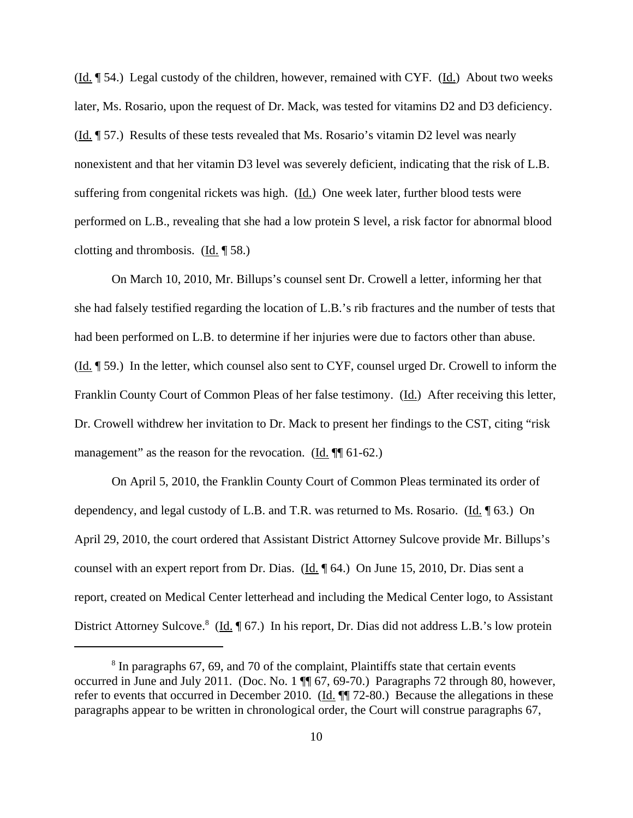$(\underline{Id}$ . [54.) Legal custody of the children, however, remained with CYF.  $(\underline{Id})$ . About two weeks later, Ms. Rosario, upon the request of Dr. Mack, was tested for vitamins D2 and D3 deficiency. (Id. ¶ 57.) Results of these tests revealed that Ms. Rosario's vitamin D2 level was nearly nonexistent and that her vitamin D3 level was severely deficient, indicating that the risk of L.B. suffering from congenital rickets was high. (Id.) One week later, further blood tests were performed on L.B., revealing that she had a low protein S level, a risk factor for abnormal blood clotting and thrombosis. (Id. ¶ 58.)

On March 10, 2010, Mr. Billups's counsel sent Dr. Crowell a letter, informing her that she had falsely testified regarding the location of L.B.'s rib fractures and the number of tests that had been performed on L.B. to determine if her injuries were due to factors other than abuse.  $(\underline{Id}$ .  $\P$  59.) In the letter, which counsel also sent to CYF, counsel urged Dr. Crowell to inform the Franklin County Court of Common Pleas of her false testimony. (Id.) After receiving this letter, Dr. Crowell withdrew her invitation to Dr. Mack to present her findings to the CST, citing "risk management" as the reason for the revocation. (Id.  $\P$  61-62.)

On April 5, 2010, the Franklin County Court of Common Pleas terminated its order of dependency, and legal custody of L.B. and T.R. was returned to Ms. Rosario. (Id. 163.) On April 29, 2010, the court ordered that Assistant District Attorney Sulcove provide Mr. Billups's counsel with an expert report from Dr. Dias. (Id. ¶ 64.) On June 15, 2010, Dr. Dias sent a report, created on Medical Center letterhead and including the Medical Center logo, to Assistant District Attorney Sulcove.<sup>8</sup> (Id. 167.) In his report, Dr. Dias did not address L.B.'s low protein

<sup>&</sup>lt;sup>8</sup> In paragraphs 67, 69, and 70 of the complaint, Plaintiffs state that certain events occurred in June and July 2011. (Doc. No. 1 ¶¶ 67, 69-70.) Paragraphs 72 through 80, however, refer to events that occurred in December 2010. (Id.  $\P$  72-80.) Because the allegations in these paragraphs appear to be written in chronological order, the Court will construe paragraphs 67,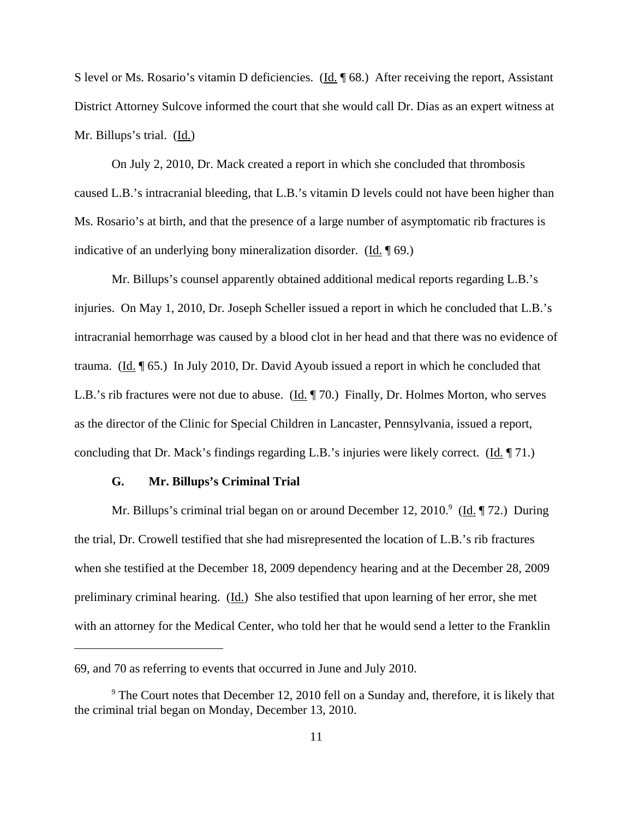S level or Ms. Rosario's vitamin D deficiencies. (Id. 168.) After receiving the report, Assistant District Attorney Sulcove informed the court that she would call Dr. Dias as an expert witness at Mr. Billups's trial. (Id.)

On July 2, 2010, Dr. Mack created a report in which she concluded that thrombosis caused L.B.'s intracranial bleeding, that L.B.'s vitamin D levels could not have been higher than Ms. Rosario's at birth, and that the presence of a large number of asymptomatic rib fractures is indicative of an underlying bony mineralization disorder. (Id. ¶ 69.)

Mr. Billups's counsel apparently obtained additional medical reports regarding L.B.'s injuries. On May 1, 2010, Dr. Joseph Scheller issued a report in which he concluded that L.B.'s intracranial hemorrhage was caused by a blood clot in her head and that there was no evidence of trauma. (Id.  $\left[ \frac{\text{Id}}{\text{Id}} \right]$  65.) In July 2010, Dr. David Ayoub issued a report in which he concluded that L.B.'s rib fractures were not due to abuse. (Id.  $\parallel$  70.) Finally, Dr. Holmes Morton, who serves as the director of the Clinic for Special Children in Lancaster, Pennsylvania, issued a report, concluding that Dr. Mack's findings regarding L.B.'s injuries were likely correct. (Id. 171.)

#### **G. Mr. Billups's Criminal Trial**

Mr. Billups's criminal trial began on or around December 12, 2010.<sup>9</sup> (Id. 172.) During the trial, Dr. Crowell testified that she had misrepresented the location of L.B.'s rib fractures when she testified at the December 18, 2009 dependency hearing and at the December 28, 2009 preliminary criminal hearing. (Id.) She also testified that upon learning of her error, she met with an attorney for the Medical Center, who told her that he would send a letter to the Franklin

<sup>69,</sup> and 70 as referring to events that occurred in June and July 2010.

 $9^9$  The Court notes that December 12, 2010 fell on a Sunday and, therefore, it is likely that the criminal trial began on Monday, December 13, 2010.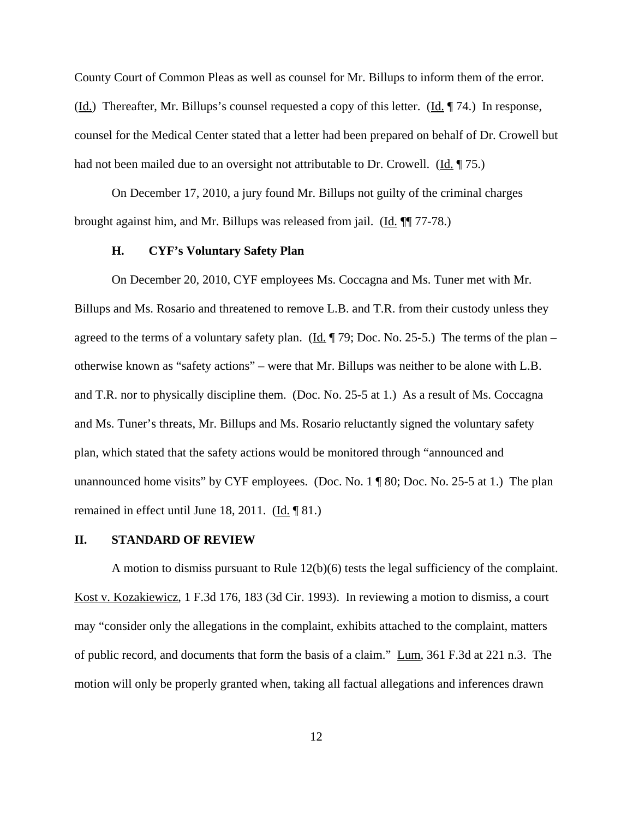County Court of Common Pleas as well as counsel for Mr. Billups to inform them of the error. (Id.) Thereafter, Mr. Billups's counsel requested a copy of this letter. (Id. ¶ 74.) In response, counsel for the Medical Center stated that a letter had been prepared on behalf of Dr. Crowell but had not been mailed due to an oversight not attributable to Dr. Crowell. (Id.  $\parallel$  75.)

On December 17, 2010, a jury found Mr. Billups not guilty of the criminal charges brought against him, and Mr. Billups was released from jail. (Id. ¶¶ 77-78.)

## **H. CYF's Voluntary Safety Plan**

On December 20, 2010, CYF employees Ms. Coccagna and Ms. Tuner met with Mr. Billups and Ms. Rosario and threatened to remove L.B. and T.R. from their custody unless they agreed to the terms of a voluntary safety plan. (Id. ¶ 79; Doc. No. 25-5.) The terms of the plan – otherwise known as "safety actions" – were that Mr. Billups was neither to be alone with L.B. and T.R. nor to physically discipline them. (Doc. No. 25-5 at 1.) As a result of Ms. Coccagna and Ms. Tuner's threats, Mr. Billups and Ms. Rosario reluctantly signed the voluntary safety plan, which stated that the safety actions would be monitored through "announced and unannounced home visits" by CYF employees. (Doc. No.  $1 \nparallel 80$ ; Doc. No. 25-5 at 1.) The plan remained in effect until June 18, 2011. (Id. ¶ 81.)

### **II. STANDARD OF REVIEW**

A motion to dismiss pursuant to Rule 12(b)(6) tests the legal sufficiency of the complaint. Kost v. Kozakiewicz, 1 F.3d 176, 183 (3d Cir. 1993). In reviewing a motion to dismiss, a court may "consider only the allegations in the complaint, exhibits attached to the complaint, matters of public record, and documents that form the basis of a claim." Lum, 361 F.3d at 221 n.3. The motion will only be properly granted when, taking all factual allegations and inferences drawn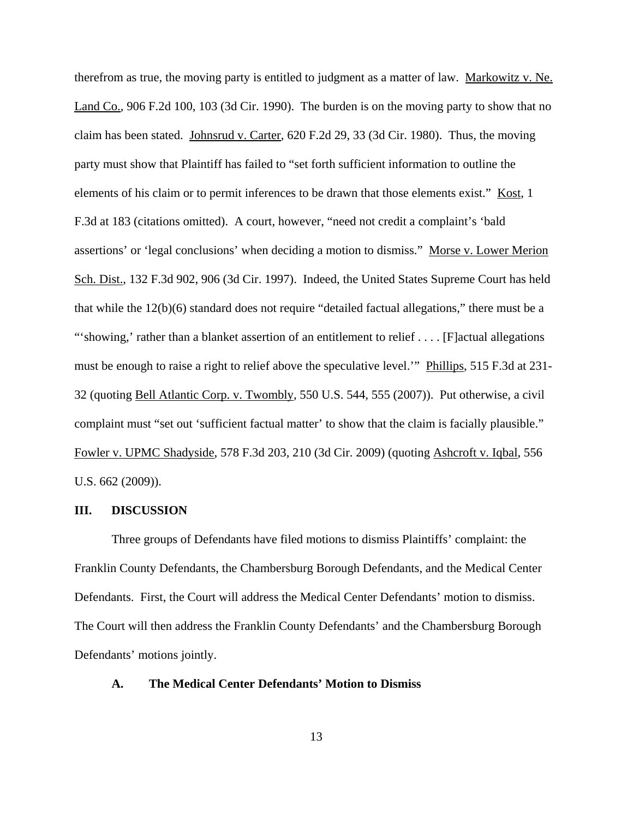therefrom as true, the moving party is entitled to judgment as a matter of law. Markowitz v. Ne. Land Co., 906 F.2d 100, 103 (3d Cir. 1990). The burden is on the moving party to show that no claim has been stated. Johnsrud v. Carter, 620 F.2d 29, 33 (3d Cir. 1980). Thus, the moving party must show that Plaintiff has failed to "set forth sufficient information to outline the elements of his claim or to permit inferences to be drawn that those elements exist." Kost, 1 F.3d at 183 (citations omitted). A court, however, "need not credit a complaint's 'bald assertions' or 'legal conclusions' when deciding a motion to dismiss." Morse v. Lower Merion Sch. Dist., 132 F.3d 902, 906 (3d Cir. 1997). Indeed, the United States Supreme Court has held that while the 12(b)(6) standard does not require "detailed factual allegations," there must be a "'showing,' rather than a blanket assertion of an entitlement to relief . . . . [F]actual allegations must be enough to raise a right to relief above the speculative level.'" Phillips, 515 F.3d at 231- 32 (quoting Bell Atlantic Corp. v. Twombly, 550 U.S. 544, 555 (2007)). Put otherwise, a civil complaint must "set out 'sufficient factual matter' to show that the claim is facially plausible." Fowler v. UPMC Shadyside, 578 F.3d 203, 210 (3d Cir. 2009) (quoting Ashcroft v. Iqbal, 556 U.S. 662 (2009)).

#### **III. DISCUSSION**

Three groups of Defendants have filed motions to dismiss Plaintiffs' complaint: the Franklin County Defendants, the Chambersburg Borough Defendants, and the Medical Center Defendants. First, the Court will address the Medical Center Defendants' motion to dismiss. The Court will then address the Franklin County Defendants' and the Chambersburg Borough Defendants' motions jointly.

### **A. The Medical Center Defendants' Motion to Dismiss**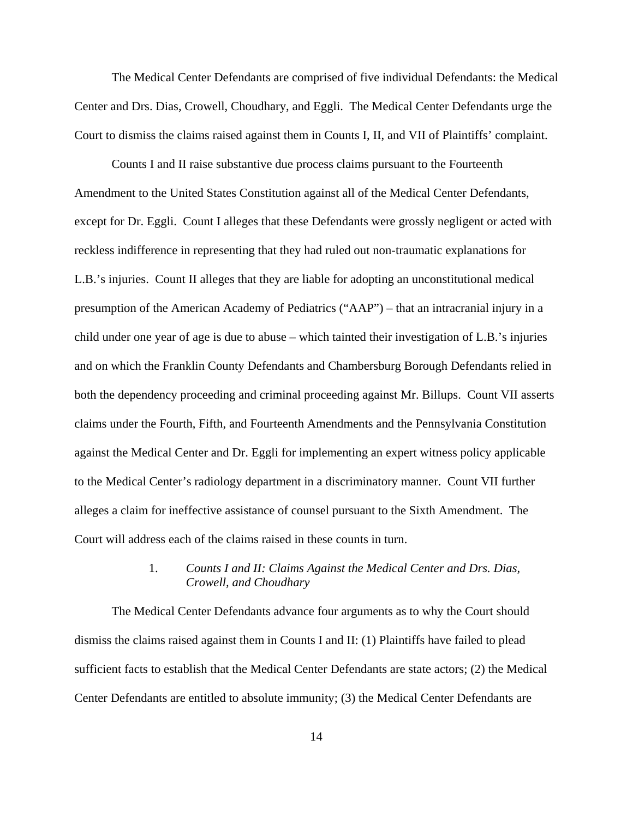The Medical Center Defendants are comprised of five individual Defendants: the Medical Center and Drs. Dias, Crowell, Choudhary, and Eggli. The Medical Center Defendants urge the Court to dismiss the claims raised against them in Counts I, II, and VII of Plaintiffs' complaint.

Counts I and II raise substantive due process claims pursuant to the Fourteenth Amendment to the United States Constitution against all of the Medical Center Defendants, except for Dr. Eggli. Count I alleges that these Defendants were grossly negligent or acted with reckless indifference in representing that they had ruled out non-traumatic explanations for L.B.'s injuries. Count II alleges that they are liable for adopting an unconstitutional medical presumption of the American Academy of Pediatrics ("AAP") – that an intracranial injury in a child under one year of age is due to abuse – which tainted their investigation of L.B.'s injuries and on which the Franklin County Defendants and Chambersburg Borough Defendants relied in both the dependency proceeding and criminal proceeding against Mr. Billups. Count VII asserts claims under the Fourth, Fifth, and Fourteenth Amendments and the Pennsylvania Constitution against the Medical Center and Dr. Eggli for implementing an expert witness policy applicable to the Medical Center's radiology department in a discriminatory manner. Count VII further alleges a claim for ineffective assistance of counsel pursuant to the Sixth Amendment. The Court will address each of the claims raised in these counts in turn.

# 1. *Counts I and II: Claims Against the Medical Center and Drs. Dias, Crowell, and Choudhary*

The Medical Center Defendants advance four arguments as to why the Court should dismiss the claims raised against them in Counts I and II: (1) Plaintiffs have failed to plead sufficient facts to establish that the Medical Center Defendants are state actors; (2) the Medical Center Defendants are entitled to absolute immunity; (3) the Medical Center Defendants are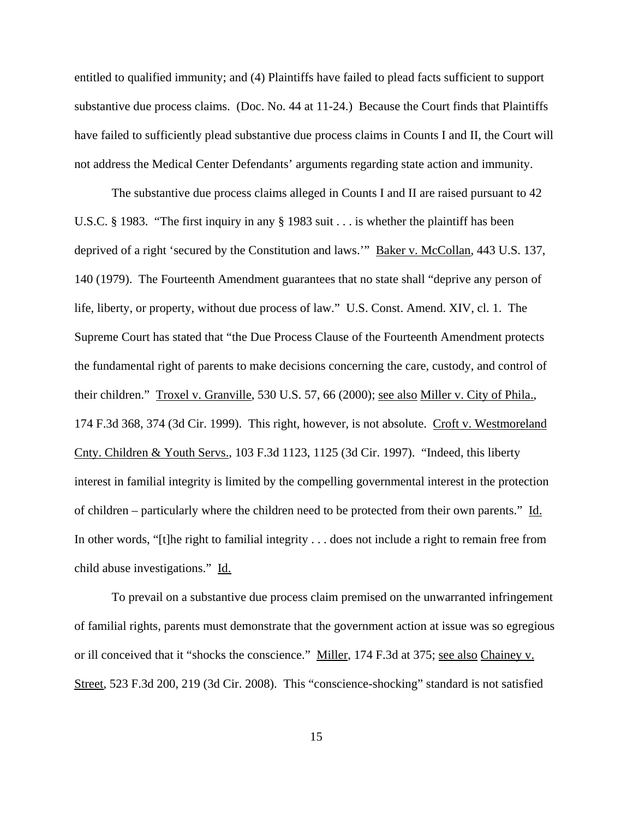entitled to qualified immunity; and (4) Plaintiffs have failed to plead facts sufficient to support substantive due process claims. (Doc. No. 44 at 11-24.) Because the Court finds that Plaintiffs have failed to sufficiently plead substantive due process claims in Counts I and II, the Court will not address the Medical Center Defendants' arguments regarding state action and immunity.

The substantive due process claims alleged in Counts I and II are raised pursuant to 42 U.S.C. § 1983. "The first inquiry in any § 1983 suit . . . is whether the plaintiff has been deprived of a right 'secured by the Constitution and laws.'" Baker v. McCollan, 443 U.S. 137, 140 (1979). The Fourteenth Amendment guarantees that no state shall "deprive any person of life, liberty, or property, without due process of law." U.S. Const. Amend. XIV, cl. 1. The Supreme Court has stated that "the Due Process Clause of the Fourteenth Amendment protects the fundamental right of parents to make decisions concerning the care, custody, and control of their children." Troxel v. Granville, 530 U.S. 57, 66 (2000); see also Miller v. City of Phila., 174 F.3d 368, 374 (3d Cir. 1999). This right, however, is not absolute. Croft v. Westmoreland Cnty. Children & Youth Servs., 103 F.3d 1123, 1125 (3d Cir. 1997). "Indeed, this liberty interest in familial integrity is limited by the compelling governmental interest in the protection of children – particularly where the children need to be protected from their own parents." Id. In other words, "[t]he right to familial integrity . . . does not include a right to remain free from child abuse investigations." Id.

To prevail on a substantive due process claim premised on the unwarranted infringement of familial rights, parents must demonstrate that the government action at issue was so egregious or ill conceived that it "shocks the conscience." Miller, 174 F.3d at 375; see also Chainey v. Street, 523 F.3d 200, 219 (3d Cir. 2008). This "conscience-shocking" standard is not satisfied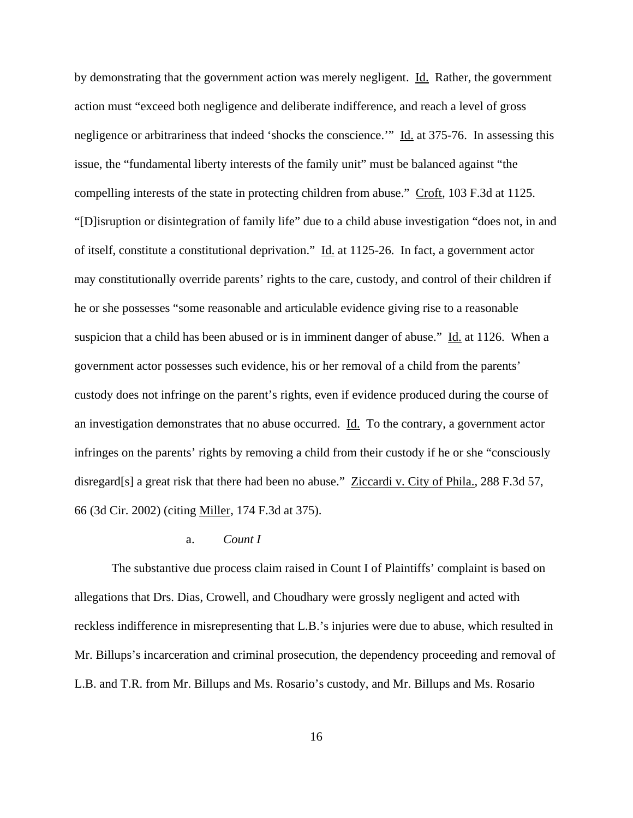by demonstrating that the government action was merely negligent. Id. Rather, the government action must "exceed both negligence and deliberate indifference, and reach a level of gross negligence or arbitrariness that indeed 'shocks the conscience.'" Id. at 375-76. In assessing this issue, the "fundamental liberty interests of the family unit" must be balanced against "the compelling interests of the state in protecting children from abuse." Croft, 103 F.3d at 1125. "[D]isruption or disintegration of family life" due to a child abuse investigation "does not, in and of itself, constitute a constitutional deprivation." Id. at 1125-26. In fact, a government actor may constitutionally override parents' rights to the care, custody, and control of their children if he or she possesses "some reasonable and articulable evidence giving rise to a reasonable suspicion that a child has been abused or is in imminent danger of abuse." Id. at 1126. When a government actor possesses such evidence, his or her removal of a child from the parents' custody does not infringe on the parent's rights, even if evidence produced during the course of an investigation demonstrates that no abuse occurred. Id. To the contrary, a government actor infringes on the parents' rights by removing a child from their custody if he or she "consciously disregard[s] a great risk that there had been no abuse." Ziccardi v. City of Phila., 288 F.3d 57, 66 (3d Cir. 2002) (citing Miller, 174 F.3d at 375).

### a. *Count I*

The substantive due process claim raised in Count I of Plaintiffs' complaint is based on allegations that Drs. Dias, Crowell, and Choudhary were grossly negligent and acted with reckless indifference in misrepresenting that L.B.'s injuries were due to abuse, which resulted in Mr. Billups's incarceration and criminal prosecution, the dependency proceeding and removal of L.B. and T.R. from Mr. Billups and Ms. Rosario's custody, and Mr. Billups and Ms. Rosario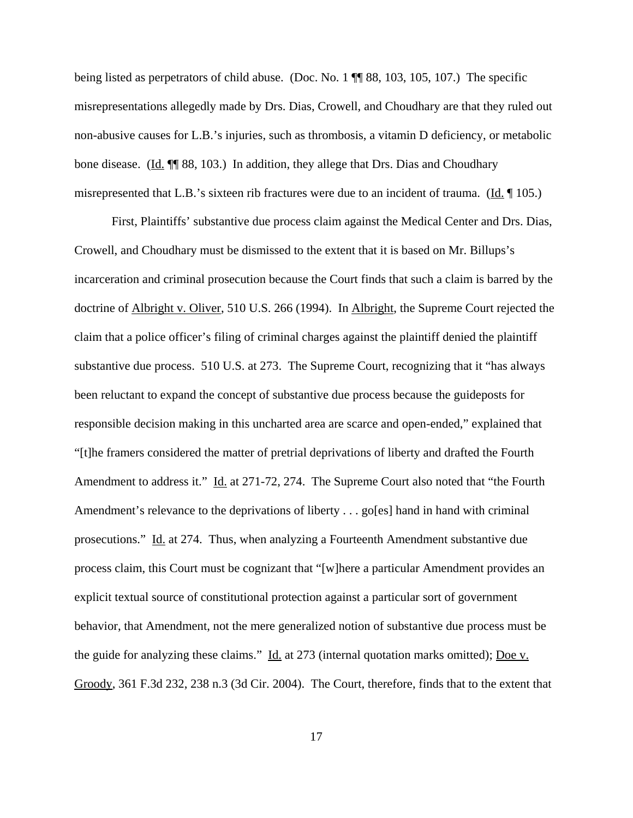being listed as perpetrators of child abuse. (Doc. No. 1  $\P$  88, 103, 105, 107.) The specific misrepresentations allegedly made by Drs. Dias, Crowell, and Choudhary are that they ruled out non-abusive causes for L.B.'s injuries, such as thrombosis, a vitamin D deficiency, or metabolic bone disease. (Id.  $\P$  88, 103.) In addition, they allege that Drs. Dias and Choudhary misrepresented that L.B.'s sixteen rib fractures were due to an incident of trauma. (Id. 105.)

First, Plaintiffs' substantive due process claim against the Medical Center and Drs. Dias, Crowell, and Choudhary must be dismissed to the extent that it is based on Mr. Billups's incarceration and criminal prosecution because the Court finds that such a claim is barred by the doctrine of Albright v. Oliver, 510 U.S. 266 (1994). In Albright, the Supreme Court rejected the claim that a police officer's filing of criminal charges against the plaintiff denied the plaintiff substantive due process. 510 U.S. at 273. The Supreme Court, recognizing that it "has always been reluctant to expand the concept of substantive due process because the guideposts for responsible decision making in this uncharted area are scarce and open-ended," explained that "[t]he framers considered the matter of pretrial deprivations of liberty and drafted the Fourth Amendment to address it." Id. at 271-72, 274. The Supreme Court also noted that "the Fourth" Amendment's relevance to the deprivations of liberty . . . go[es] hand in hand with criminal prosecutions." Id. at 274. Thus, when analyzing a Fourteenth Amendment substantive due process claim, this Court must be cognizant that "[w]here a particular Amendment provides an explicit textual source of constitutional protection against a particular sort of government behavior, that Amendment, not the mere generalized notion of substantive due process must be the guide for analyzing these claims." Id. at 273 (internal quotation marks omitted); Doe v. Groody, 361 F.3d 232, 238 n.3 (3d Cir. 2004). The Court, therefore, finds that to the extent that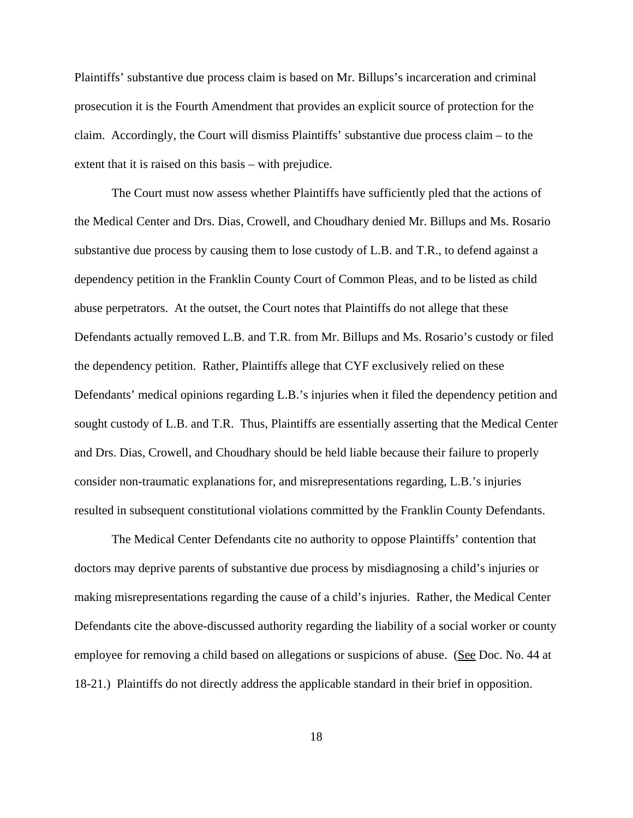Plaintiffs' substantive due process claim is based on Mr. Billups's incarceration and criminal prosecution it is the Fourth Amendment that provides an explicit source of protection for the claim. Accordingly, the Court will dismiss Plaintiffs' substantive due process claim – to the extent that it is raised on this basis – with prejudice.

The Court must now assess whether Plaintiffs have sufficiently pled that the actions of the Medical Center and Drs. Dias, Crowell, and Choudhary denied Mr. Billups and Ms. Rosario substantive due process by causing them to lose custody of L.B. and T.R., to defend against a dependency petition in the Franklin County Court of Common Pleas, and to be listed as child abuse perpetrators. At the outset, the Court notes that Plaintiffs do not allege that these Defendants actually removed L.B. and T.R. from Mr. Billups and Ms. Rosario's custody or filed the dependency petition. Rather, Plaintiffs allege that CYF exclusively relied on these Defendants' medical opinions regarding L.B.'s injuries when it filed the dependency petition and sought custody of L.B. and T.R. Thus, Plaintiffs are essentially asserting that the Medical Center and Drs. Dias, Crowell, and Choudhary should be held liable because their failure to properly consider non-traumatic explanations for, and misrepresentations regarding, L.B.'s injuries resulted in subsequent constitutional violations committed by the Franklin County Defendants.

The Medical Center Defendants cite no authority to oppose Plaintiffs' contention that doctors may deprive parents of substantive due process by misdiagnosing a child's injuries or making misrepresentations regarding the cause of a child's injuries. Rather, the Medical Center Defendants cite the above-discussed authority regarding the liability of a social worker or county employee for removing a child based on allegations or suspicions of abuse. (See Doc. No. 44 at 18-21.) Plaintiffs do not directly address the applicable standard in their brief in opposition.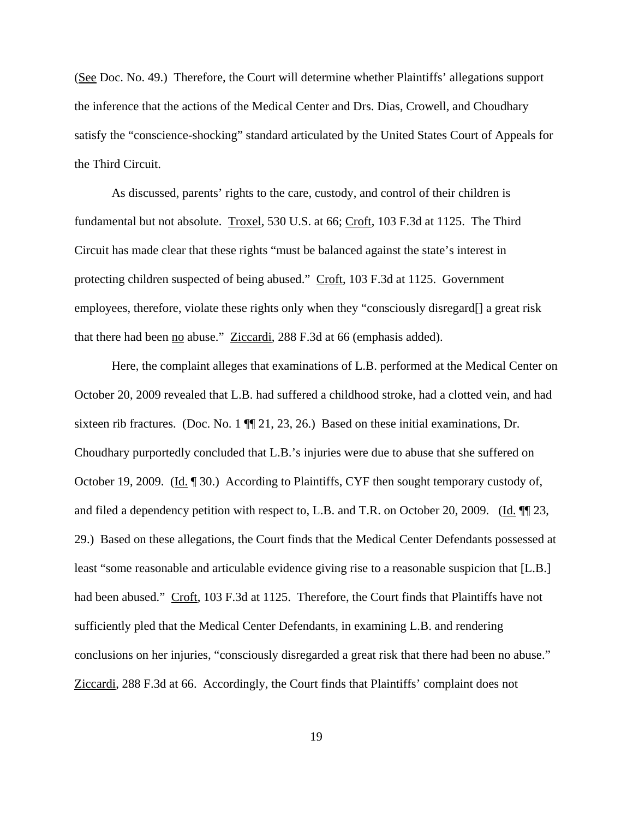(See Doc. No. 49.) Therefore, the Court will determine whether Plaintiffs' allegations support the inference that the actions of the Medical Center and Drs. Dias, Crowell, and Choudhary satisfy the "conscience-shocking" standard articulated by the United States Court of Appeals for the Third Circuit.

As discussed, parents' rights to the care, custody, and control of their children is fundamental but not absolute. Troxel, 530 U.S. at 66; Croft, 103 F.3d at 1125. The Third Circuit has made clear that these rights "must be balanced against the state's interest in protecting children suspected of being abused." Croft, 103 F.3d at 1125. Government employees, therefore, violate these rights only when they "consciously disregard[] a great risk that there had been no abuse." Ziccardi, 288 F.3d at 66 (emphasis added).

Here, the complaint alleges that examinations of L.B. performed at the Medical Center on October 20, 2009 revealed that L.B. had suffered a childhood stroke, had a clotted vein, and had sixteen rib fractures. (Doc. No. 1  $\P$  21, 23, 26.) Based on these initial examinations, Dr. Choudhary purportedly concluded that L.B.'s injuries were due to abuse that she suffered on October 19, 2009. (Id. 1 30.) According to Plaintiffs, CYF then sought temporary custody of, and filed a dependency petition with respect to, L.B. and T.R. on October 20, 2009. (Id.  $\P$  23, 29.) Based on these allegations, the Court finds that the Medical Center Defendants possessed at least "some reasonable and articulable evidence giving rise to a reasonable suspicion that [L.B.] had been abused." Croft, 103 F.3d at 1125. Therefore, the Court finds that Plaintiffs have not sufficiently pled that the Medical Center Defendants, in examining L.B. and rendering conclusions on her injuries, "consciously disregarded a great risk that there had been no abuse." Ziccardi, 288 F.3d at 66. Accordingly, the Court finds that Plaintiffs' complaint does not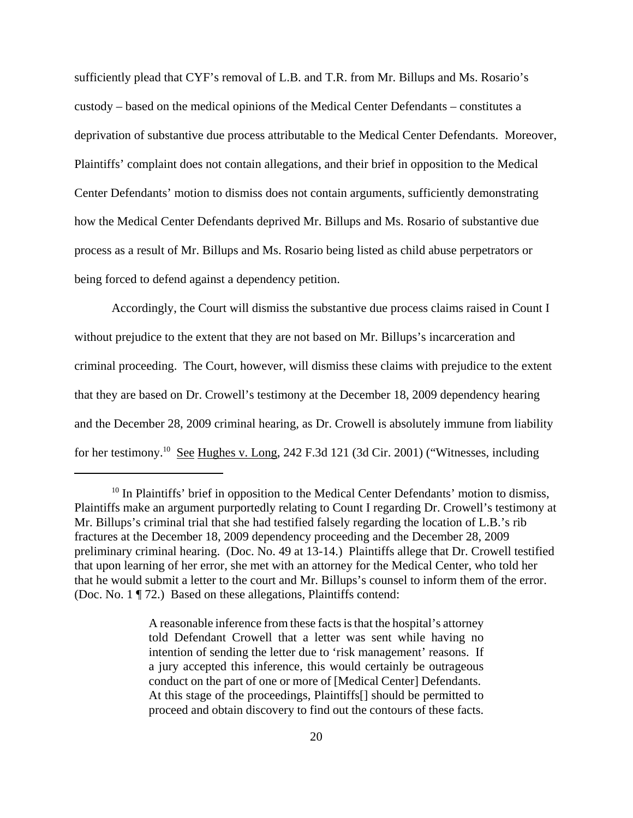sufficiently plead that CYF's removal of L.B. and T.R. from Mr. Billups and Ms. Rosario's custody – based on the medical opinions of the Medical Center Defendants – constitutes a deprivation of substantive due process attributable to the Medical Center Defendants. Moreover, Plaintiffs' complaint does not contain allegations, and their brief in opposition to the Medical Center Defendants' motion to dismiss does not contain arguments, sufficiently demonstrating how the Medical Center Defendants deprived Mr. Billups and Ms. Rosario of substantive due process as a result of Mr. Billups and Ms. Rosario being listed as child abuse perpetrators or being forced to defend against a dependency petition.

Accordingly, the Court will dismiss the substantive due process claims raised in Count I without prejudice to the extent that they are not based on Mr. Billups's incarceration and criminal proceeding. The Court, however, will dismiss these claims with prejudice to the extent that they are based on Dr. Crowell's testimony at the December 18, 2009 dependency hearing and the December 28, 2009 criminal hearing, as Dr. Crowell is absolutely immune from liability for her testimony.10 See Hughes v. Long, 242 F.3d 121 (3d Cir. 2001) ("Witnesses, including

A reasonable inference from these facts is that the hospital's attorney told Defendant Crowell that a letter was sent while having no intention of sending the letter due to 'risk management' reasons. If a jury accepted this inference, this would certainly be outrageous conduct on the part of one or more of [Medical Center] Defendants. At this stage of the proceedings, Plaintiffs[] should be permitted to proceed and obtain discovery to find out the contours of these facts.

 $10$  In Plaintiffs' brief in opposition to the Medical Center Defendants' motion to dismiss, Plaintiffs make an argument purportedly relating to Count I regarding Dr. Crowell's testimony at Mr. Billups's criminal trial that she had testified falsely regarding the location of L.B.'s rib fractures at the December 18, 2009 dependency proceeding and the December 28, 2009 preliminary criminal hearing. (Doc. No. 49 at 13-14.) Plaintiffs allege that Dr. Crowell testified that upon learning of her error, she met with an attorney for the Medical Center, who told her that he would submit a letter to the court and Mr. Billups's counsel to inform them of the error. (Doc. No. 1 ¶ 72.) Based on these allegations, Plaintiffs contend: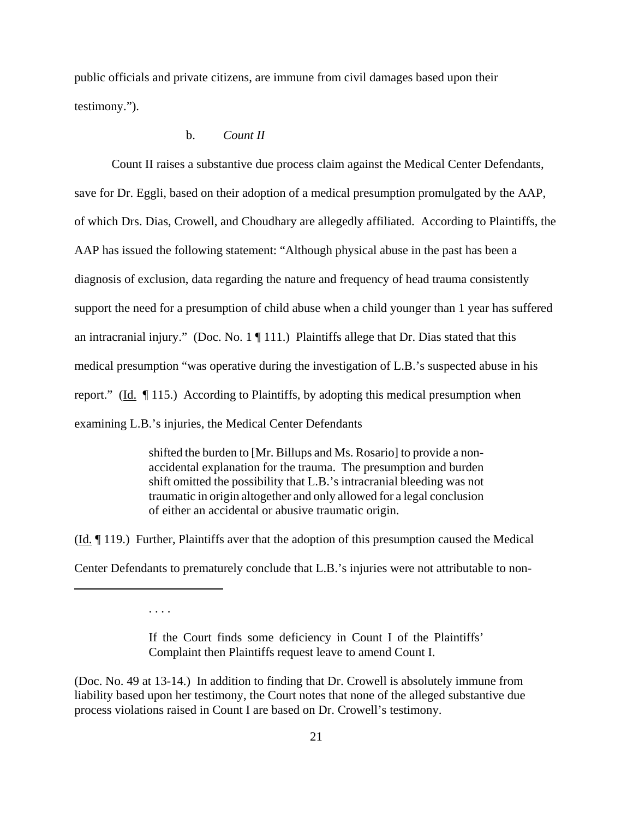public officials and private citizens, are immune from civil damages based upon their testimony.").

## b. *Count II*

Count II raises a substantive due process claim against the Medical Center Defendants, save for Dr. Eggli, based on their adoption of a medical presumption promulgated by the AAP, of which Drs. Dias, Crowell, and Choudhary are allegedly affiliated. According to Plaintiffs, the AAP has issued the following statement: "Although physical abuse in the past has been a diagnosis of exclusion, data regarding the nature and frequency of head trauma consistently support the need for a presumption of child abuse when a child younger than 1 year has suffered an intracranial injury." (Doc. No.  $1 \nparallel 111$ .) Plaintiffs allege that Dr. Dias stated that this medical presumption "was operative during the investigation of L.B.'s suspected abuse in his report." ( $\underline{Id}$ .  $\P$  115.) According to Plaintiffs, by adopting this medical presumption when examining L.B.'s injuries, the Medical Center Defendants

> shifted the burden to [Mr. Billups and Ms. Rosario] to provide a nonaccidental explanation for the trauma. The presumption and burden shift omitted the possibility that L.B.'s intracranial bleeding was not traumatic in origin altogether and only allowed for a legal conclusion of either an accidental or abusive traumatic origin.

 $(\underline{Id}$ .  $\P$  119.) Further, Plaintiffs aver that the adoption of this presumption caused the Medical Center Defendants to prematurely conclude that L.B.'s injuries were not attributable to non-

. . . .

If the Court finds some deficiency in Count I of the Plaintiffs' Complaint then Plaintiffs request leave to amend Count I.

(Doc. No. 49 at 13-14.) In addition to finding that Dr. Crowell is absolutely immune from liability based upon her testimony, the Court notes that none of the alleged substantive due process violations raised in Count I are based on Dr. Crowell's testimony.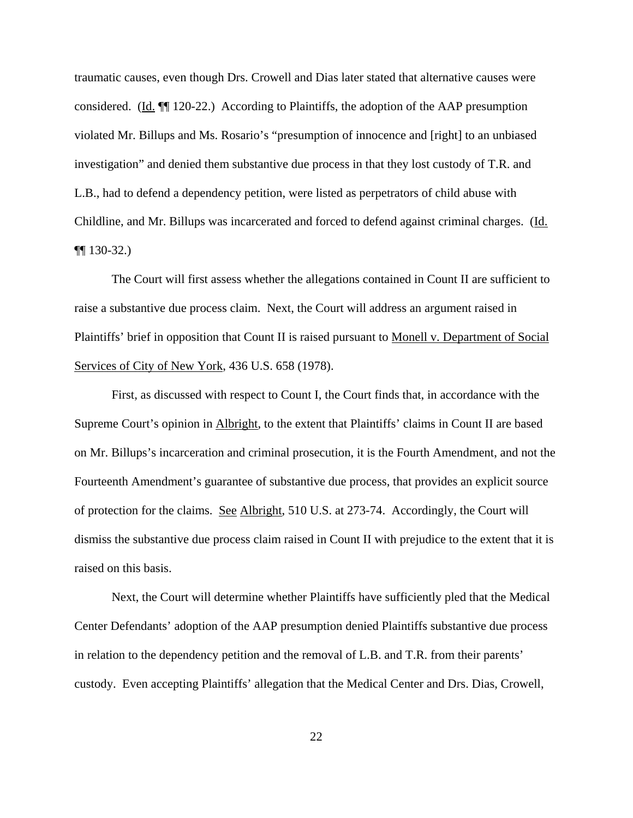traumatic causes, even though Drs. Crowell and Dias later stated that alternative causes were considered. (Id.  $\P$  120-22.) According to Plaintiffs, the adoption of the AAP presumption violated Mr. Billups and Ms. Rosario's "presumption of innocence and [right] to an unbiased investigation" and denied them substantive due process in that they lost custody of T.R. and L.B., had to defend a dependency petition, were listed as perpetrators of child abuse with Childline, and Mr. Billups was incarcerated and forced to defend against criminal charges. (Id. ¶¶ 130-32.)

The Court will first assess whether the allegations contained in Count II are sufficient to raise a substantive due process claim. Next, the Court will address an argument raised in Plaintiffs' brief in opposition that Count II is raised pursuant to Monell v. Department of Social Services of City of New York, 436 U.S. 658 (1978).

First, as discussed with respect to Count I, the Court finds that, in accordance with the Supreme Court's opinion in Albright, to the extent that Plaintiffs' claims in Count II are based on Mr. Billups's incarceration and criminal prosecution, it is the Fourth Amendment, and not the Fourteenth Amendment's guarantee of substantive due process, that provides an explicit source of protection for the claims. See Albright, 510 U.S. at 273-74. Accordingly, the Court will dismiss the substantive due process claim raised in Count II with prejudice to the extent that it is raised on this basis.

Next, the Court will determine whether Plaintiffs have sufficiently pled that the Medical Center Defendants' adoption of the AAP presumption denied Plaintiffs substantive due process in relation to the dependency petition and the removal of L.B. and T.R. from their parents' custody. Even accepting Plaintiffs' allegation that the Medical Center and Drs. Dias, Crowell,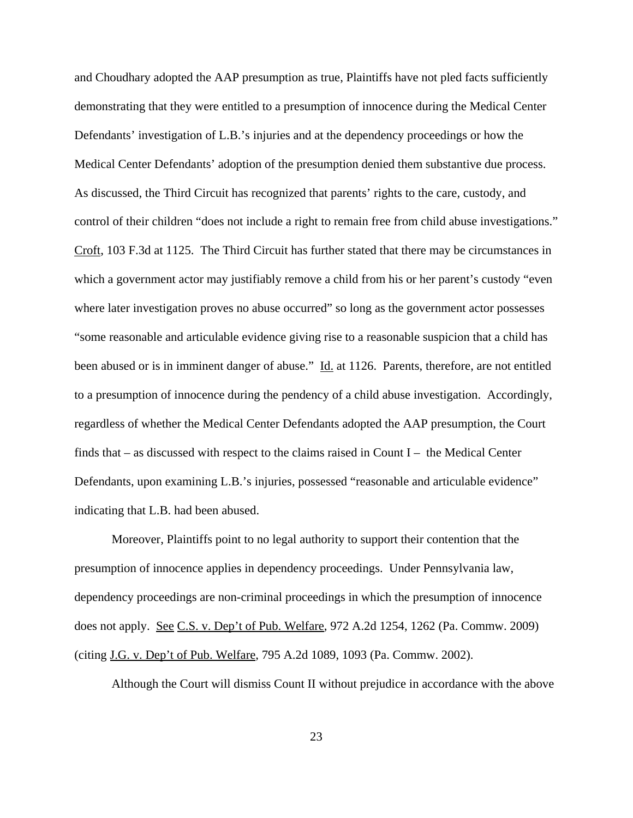and Choudhary adopted the AAP presumption as true, Plaintiffs have not pled facts sufficiently demonstrating that they were entitled to a presumption of innocence during the Medical Center Defendants' investigation of L.B.'s injuries and at the dependency proceedings or how the Medical Center Defendants' adoption of the presumption denied them substantive due process. As discussed, the Third Circuit has recognized that parents' rights to the care, custody, and control of their children "does not include a right to remain free from child abuse investigations." Croft, 103 F.3d at 1125. The Third Circuit has further stated that there may be circumstances in which a government actor may justifiably remove a child from his or her parent's custody "even where later investigation proves no abuse occurred" so long as the government actor possesses "some reasonable and articulable evidence giving rise to a reasonable suspicion that a child has been abused or is in imminent danger of abuse." Id. at 1126. Parents, therefore, are not entitled to a presumption of innocence during the pendency of a child abuse investigation. Accordingly, regardless of whether the Medical Center Defendants adopted the AAP presumption, the Court finds that  $-$  as discussed with respect to the claims raised in Count I  $-$  the Medical Center Defendants, upon examining L.B.'s injuries, possessed "reasonable and articulable evidence" indicating that L.B. had been abused.

Moreover, Plaintiffs point to no legal authority to support their contention that the presumption of innocence applies in dependency proceedings. Under Pennsylvania law, dependency proceedings are non-criminal proceedings in which the presumption of innocence does not apply. See C.S. v. Dep't of Pub. Welfare, 972 A.2d 1254, 1262 (Pa. Commw. 2009) (citing J.G. v. Dep't of Pub. Welfare, 795 A.2d 1089, 1093 (Pa. Commw. 2002).

Although the Court will dismiss Count II without prejudice in accordance with the above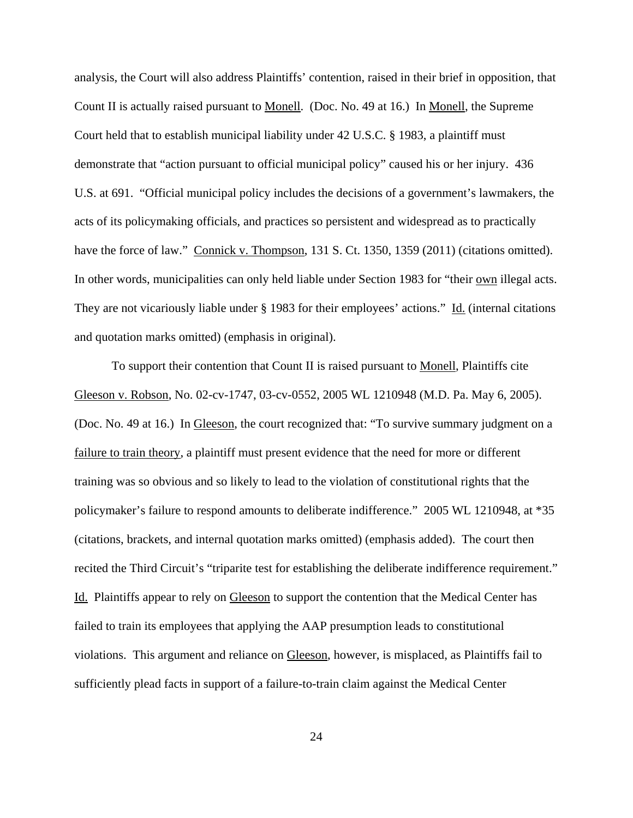analysis, the Court will also address Plaintiffs' contention, raised in their brief in opposition, that Count II is actually raised pursuant to Monell. (Doc. No. 49 at 16.) In Monell, the Supreme Court held that to establish municipal liability under 42 U.S.C. § 1983, a plaintiff must demonstrate that "action pursuant to official municipal policy" caused his or her injury. 436 U.S. at 691. "Official municipal policy includes the decisions of a government's lawmakers, the acts of its policymaking officials, and practices so persistent and widespread as to practically have the force of law." Connick v. Thompson, 131 S. Ct. 1350, 1359 (2011) (citations omitted). In other words, municipalities can only held liable under Section 1983 for "their own illegal acts. They are not vicariously liable under § 1983 for their employees' actions." Id. (internal citations and quotation marks omitted) (emphasis in original).

To support their contention that Count II is raised pursuant to Monell, Plaintiffs cite Gleeson v. Robson, No. 02-cv-1747, 03-cv-0552, 2005 WL 1210948 (M.D. Pa. May 6, 2005). (Doc. No. 49 at 16.) In Gleeson, the court recognized that: "To survive summary judgment on a failure to train theory, a plaintiff must present evidence that the need for more or different training was so obvious and so likely to lead to the violation of constitutional rights that the policymaker's failure to respond amounts to deliberate indifference." 2005 WL 1210948, at \*35 (citations, brackets, and internal quotation marks omitted) (emphasis added). The court then recited the Third Circuit's "triparite test for establishing the deliberate indifference requirement." Id. Plaintiffs appear to rely on Gleeson to support the contention that the Medical Center has failed to train its employees that applying the AAP presumption leads to constitutional violations. This argument and reliance on Gleeson, however, is misplaced, as Plaintiffs fail to sufficiently plead facts in support of a failure-to-train claim against the Medical Center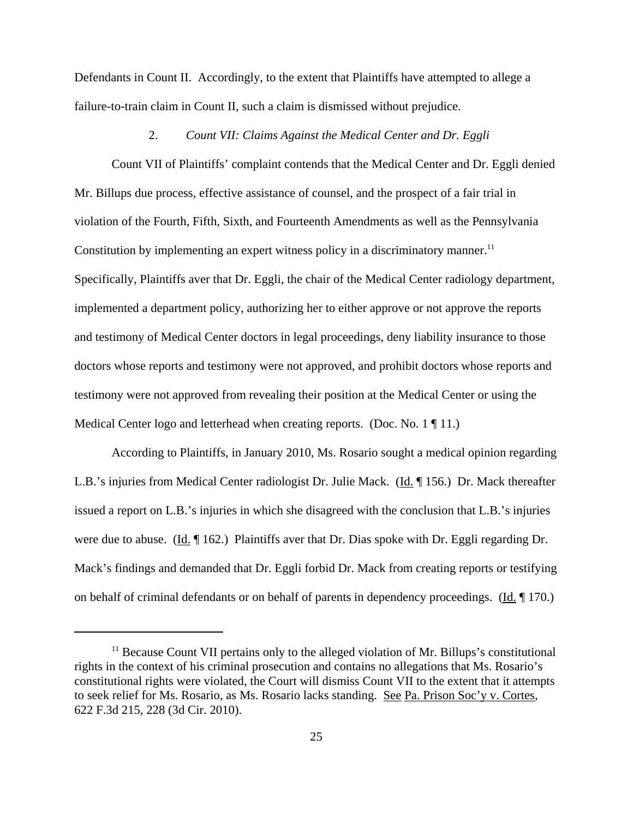Defendants in Count II. Accordingly, to the extent that Plaintiffs have attempted to allege a failure-to-train claim in Count II, such a claim is dismissed without prejudice.

#### 2. *Count VII: Claims Against the Medical Center and Dr. Eggli*

Count VII of Plaintiffs' complaint contends that the Medical Center and Dr. Eggli denied Mr. Billups due process, effective assistance of counsel, and the prospect of a fair trial in violation of the Fourth, Fifth, Sixth, and Fourteenth Amendments as well as the Pennsylvania Constitution by implementing an expert witness policy in a discriminatory manner.<sup>11</sup> Specifically, Plaintiffs aver that Dr. Eggli, the chair of the Medical Center radiology department, implemented a department policy, authorizing her to either approve or not approve the reports and testimony of Medical Center doctors in legal proceedings, deny liability insurance to those doctors whose reports and testimony were not approved, and prohibit doctors whose reports and testimony were not approved from revealing their position at the Medical Center or using the Medical Center logo and letterhead when creating reports. (Doc. No. 1 || 11.)

According to Plaintiffs, in January 2010, Ms. Rosario sought a medical opinion regarding L.B.'s injuries from Medical Center radiologist Dr. Julie Mack. (Id. 156.) Dr. Mack thereafter issued a report on L.B.'s injuries in which she disagreed with the conclusion that L.B.'s injuries were due to abuse. (Id. ¶ 162.) Plaintiffs aver that Dr. Dias spoke with Dr. Eggli regarding Dr. Mack's findings and demanded that Dr. Eggli forbid Dr. Mack from creating reports or testifying on behalf of criminal defendants or on behalf of parents in dependency proceedings. (Id. ¶ 170.)

<sup>&</sup>lt;sup>11</sup> Because Count VII pertains only to the alleged violation of Mr. Billups's constitutional rights in the context of his criminal prosecution and contains no allegations that Ms. Rosario's constitutional rights were violated, the Court will dismiss Count VII to the extent that it attempts to seek relief for Ms. Rosario, as Ms. Rosario lacks standing. See Pa. Prison Soc'y v. Cortes, 622 F.3d 215, 228 (3d Cir. 2010).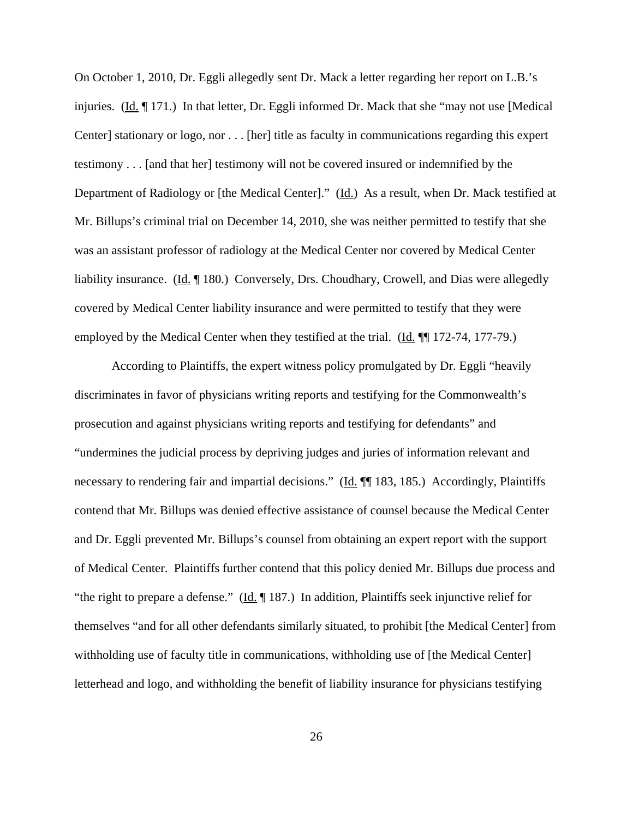On October 1, 2010, Dr. Eggli allegedly sent Dr. Mack a letter regarding her report on L.B.'s injuries. (Id. 171.) In that letter, Dr. Eggli informed Dr. Mack that she "may not use [Medical] Center] stationary or logo, nor . . . [her] title as faculty in communications regarding this expert testimony . . . [and that her] testimony will not be covered insured or indemnified by the Department of Radiology or [the Medical Center]." (Id.) As a result, when Dr. Mack testified at Mr. Billups's criminal trial on December 14, 2010, she was neither permitted to testify that she was an assistant professor of radiology at the Medical Center nor covered by Medical Center liability insurance. (Id. ¶ 180.) Conversely, Drs. Choudhary, Crowell, and Dias were allegedly covered by Medical Center liability insurance and were permitted to testify that they were employed by the Medical Center when they testified at the trial. (Id. ¶¶ 172-74, 177-79.)

According to Plaintiffs, the expert witness policy promulgated by Dr. Eggli "heavily discriminates in favor of physicians writing reports and testifying for the Commonwealth's prosecution and against physicians writing reports and testifying for defendants" and "undermines the judicial process by depriving judges and juries of information relevant and necessary to rendering fair and impartial decisions." (Id. ¶ 183, 185.) Accordingly, Plaintiffs contend that Mr. Billups was denied effective assistance of counsel because the Medical Center and Dr. Eggli prevented Mr. Billups's counsel from obtaining an expert report with the support of Medical Center. Plaintiffs further contend that this policy denied Mr. Billups due process and "the right to prepare a defense." (Id. ¶ 187.) In addition, Plaintiffs seek injunctive relief for themselves "and for all other defendants similarly situated, to prohibit [the Medical Center] from withholding use of faculty title in communications, withholding use of [the Medical Center] letterhead and logo, and withholding the benefit of liability insurance for physicians testifying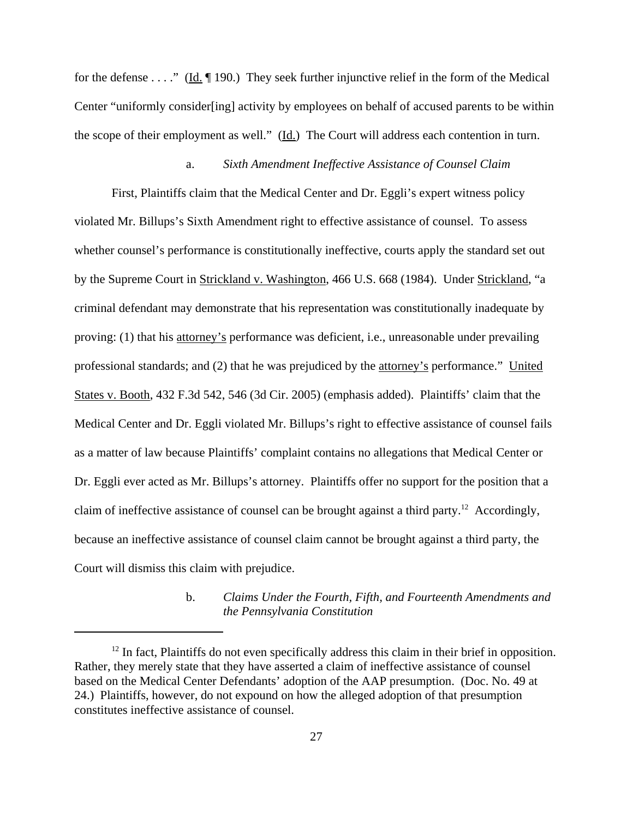for the defense . . . ." (Id.  $\P$  190.) They seek further injunctive relief in the form of the Medical Center "uniformly consider[ing] activity by employees on behalf of accused parents to be within the scope of their employment as well."  $(\underline{Id})$  The Court will address each contention in turn.

## a. *Sixth Amendment Ineffective Assistance of Counsel Claim*

First, Plaintiffs claim that the Medical Center and Dr. Eggli's expert witness policy violated Mr. Billups's Sixth Amendment right to effective assistance of counsel. To assess whether counsel's performance is constitutionally ineffective, courts apply the standard set out by the Supreme Court in Strickland v. Washington, 466 U.S. 668 (1984). Under Strickland, "a criminal defendant may demonstrate that his representation was constitutionally inadequate by proving: (1) that his attorney's performance was deficient, i.e., unreasonable under prevailing professional standards; and (2) that he was prejudiced by the attorney's performance." United States v. Booth, 432 F.3d 542, 546 (3d Cir. 2005) (emphasis added). Plaintiffs' claim that the Medical Center and Dr. Eggli violated Mr. Billups's right to effective assistance of counsel fails as a matter of law because Plaintiffs' complaint contains no allegations that Medical Center or Dr. Eggli ever acted as Mr. Billups's attorney. Plaintiffs offer no support for the position that a claim of ineffective assistance of counsel can be brought against a third party.12 Accordingly, because an ineffective assistance of counsel claim cannot be brought against a third party, the Court will dismiss this claim with prejudice.

# b. *Claims Under the Fourth, Fifth, and Fourteenth Amendments and the Pennsylvania Constitution*

 $12$  In fact, Plaintiffs do not even specifically address this claim in their brief in opposition. Rather, they merely state that they have asserted a claim of ineffective assistance of counsel based on the Medical Center Defendants' adoption of the AAP presumption. (Doc. No. 49 at 24.) Plaintiffs, however, do not expound on how the alleged adoption of that presumption constitutes ineffective assistance of counsel.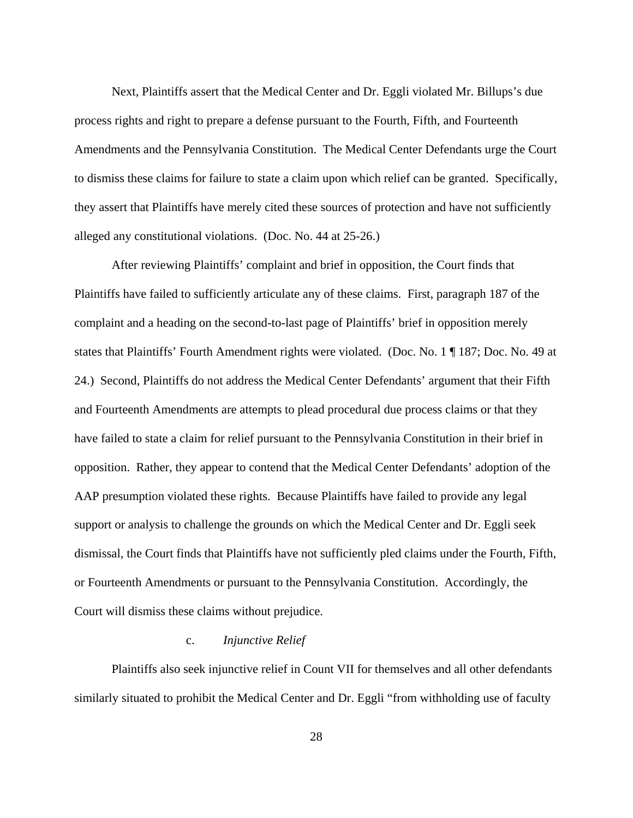Next, Plaintiffs assert that the Medical Center and Dr. Eggli violated Mr. Billups's due process rights and right to prepare a defense pursuant to the Fourth, Fifth, and Fourteenth Amendments and the Pennsylvania Constitution. The Medical Center Defendants urge the Court to dismiss these claims for failure to state a claim upon which relief can be granted. Specifically, they assert that Plaintiffs have merely cited these sources of protection and have not sufficiently alleged any constitutional violations. (Doc. No. 44 at 25-26.)

After reviewing Plaintiffs' complaint and brief in opposition, the Court finds that Plaintiffs have failed to sufficiently articulate any of these claims. First, paragraph 187 of the complaint and a heading on the second-to-last page of Plaintiffs' brief in opposition merely states that Plaintiffs' Fourth Amendment rights were violated. (Doc. No. 1 ¶ 187; Doc. No. 49 at 24.) Second, Plaintiffs do not address the Medical Center Defendants' argument that their Fifth and Fourteenth Amendments are attempts to plead procedural due process claims or that they have failed to state a claim for relief pursuant to the Pennsylvania Constitution in their brief in opposition. Rather, they appear to contend that the Medical Center Defendants' adoption of the AAP presumption violated these rights. Because Plaintiffs have failed to provide any legal support or analysis to challenge the grounds on which the Medical Center and Dr. Eggli seek dismissal, the Court finds that Plaintiffs have not sufficiently pled claims under the Fourth, Fifth, or Fourteenth Amendments or pursuant to the Pennsylvania Constitution. Accordingly, the Court will dismiss these claims without prejudice.

#### c. *Injunctive Relief*

Plaintiffs also seek injunctive relief in Count VII for themselves and all other defendants similarly situated to prohibit the Medical Center and Dr. Eggli "from withholding use of faculty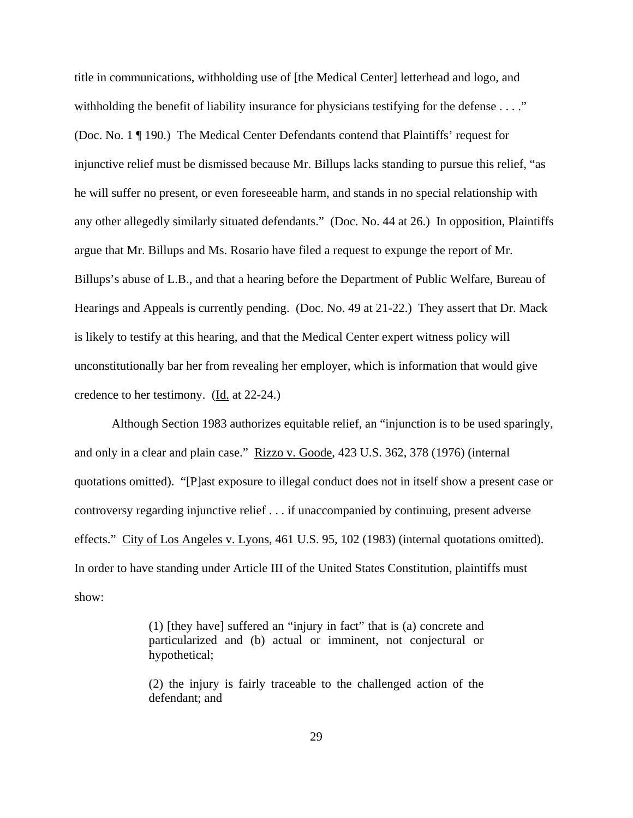title in communications, withholding use of [the Medical Center] letterhead and logo, and withholding the benefit of liability insurance for physicians testifying for the defense . . . ." (Doc. No. 1 ¶ 190.) The Medical Center Defendants contend that Plaintiffs' request for injunctive relief must be dismissed because Mr. Billups lacks standing to pursue this relief, "as he will suffer no present, or even foreseeable harm, and stands in no special relationship with any other allegedly similarly situated defendants." (Doc. No. 44 at 26.) In opposition, Plaintiffs argue that Mr. Billups and Ms. Rosario have filed a request to expunge the report of Mr. Billups's abuse of L.B., and that a hearing before the Department of Public Welfare, Bureau of Hearings and Appeals is currently pending. (Doc. No. 49 at 21-22.) They assert that Dr. Mack is likely to testify at this hearing, and that the Medical Center expert witness policy will unconstitutionally bar her from revealing her employer, which is information that would give credence to her testimony. (Id. at 22-24.)

Although Section 1983 authorizes equitable relief, an "injunction is to be used sparingly, and only in a clear and plain case." Rizzo v. Goode, 423 U.S. 362, 378 (1976) (internal quotations omitted). "[P]ast exposure to illegal conduct does not in itself show a present case or controversy regarding injunctive relief . . . if unaccompanied by continuing, present adverse effects." City of Los Angeles v. Lyons, 461 U.S. 95, 102 (1983) (internal quotations omitted). In order to have standing under Article III of the United States Constitution, plaintiffs must show:

> (1) [they have] suffered an "injury in fact" that is (a) concrete and particularized and (b) actual or imminent, not conjectural or hypothetical;

> (2) the injury is fairly traceable to the challenged action of the defendant; and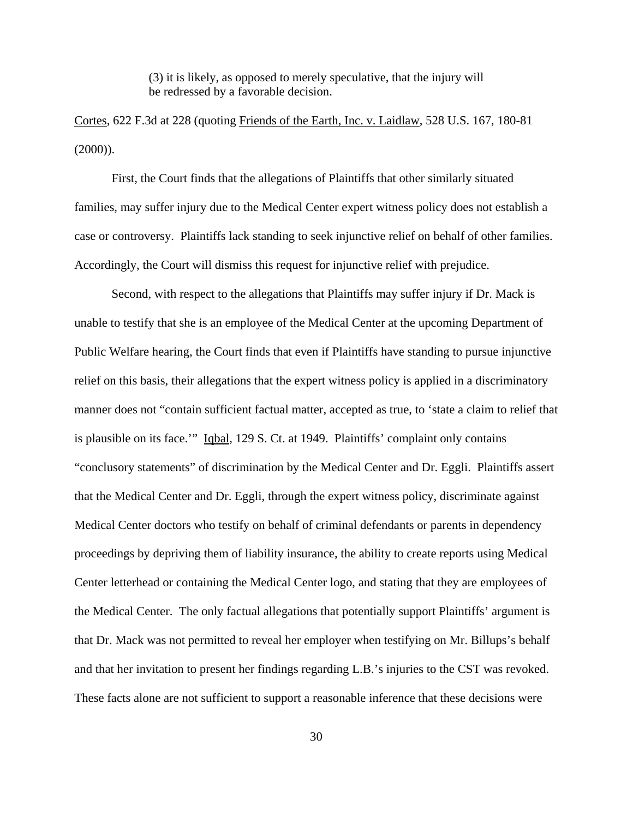(3) it is likely, as opposed to merely speculative, that the injury will be redressed by a favorable decision.

Cortes, 622 F.3d at 228 (quoting Friends of the Earth, Inc. v. Laidlaw, 528 U.S. 167, 180-81  $(2000)$ ).

First, the Court finds that the allegations of Plaintiffs that other similarly situated families, may suffer injury due to the Medical Center expert witness policy does not establish a case or controversy. Plaintiffs lack standing to seek injunctive relief on behalf of other families. Accordingly, the Court will dismiss this request for injunctive relief with prejudice.

Second, with respect to the allegations that Plaintiffs may suffer injury if Dr. Mack is unable to testify that she is an employee of the Medical Center at the upcoming Department of Public Welfare hearing, the Court finds that even if Plaintiffs have standing to pursue injunctive relief on this basis, their allegations that the expert witness policy is applied in a discriminatory manner does not "contain sufficient factual matter, accepted as true, to 'state a claim to relief that is plausible on its face.'" Iqbal, 129 S. Ct. at 1949. Plaintiffs' complaint only contains "conclusory statements" of discrimination by the Medical Center and Dr. Eggli. Plaintiffs assert that the Medical Center and Dr. Eggli, through the expert witness policy, discriminate against Medical Center doctors who testify on behalf of criminal defendants or parents in dependency proceedings by depriving them of liability insurance, the ability to create reports using Medical Center letterhead or containing the Medical Center logo, and stating that they are employees of the Medical Center. The only factual allegations that potentially support Plaintiffs' argument is that Dr. Mack was not permitted to reveal her employer when testifying on Mr. Billups's behalf and that her invitation to present her findings regarding L.B.'s injuries to the CST was revoked. These facts alone are not sufficient to support a reasonable inference that these decisions were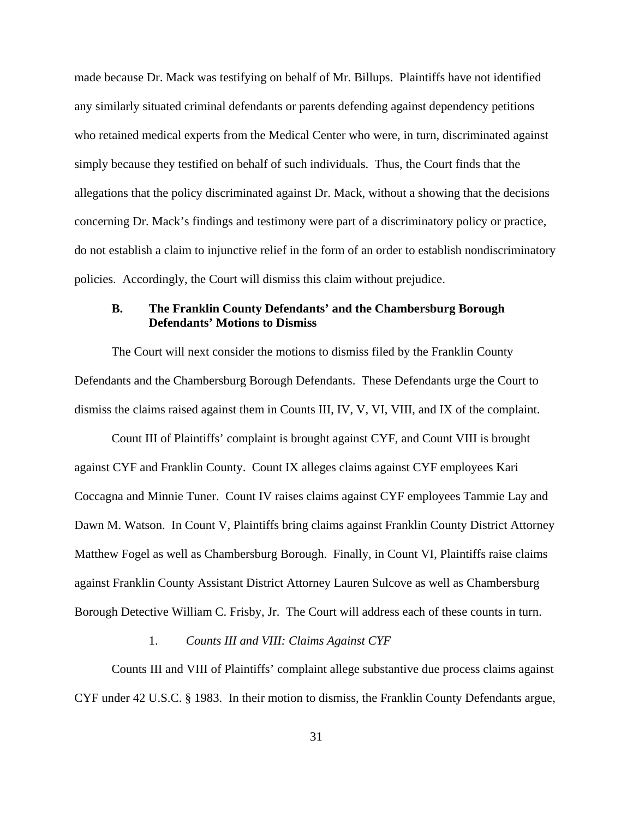made because Dr. Mack was testifying on behalf of Mr. Billups. Plaintiffs have not identified any similarly situated criminal defendants or parents defending against dependency petitions who retained medical experts from the Medical Center who were, in turn, discriminated against simply because they testified on behalf of such individuals. Thus, the Court finds that the allegations that the policy discriminated against Dr. Mack, without a showing that the decisions concerning Dr. Mack's findings and testimony were part of a discriminatory policy or practice, do not establish a claim to injunctive relief in the form of an order to establish nondiscriminatory policies. Accordingly, the Court will dismiss this claim without prejudice.

## **B. The Franklin County Defendants' and the Chambersburg Borough Defendants' Motions to Dismiss**

The Court will next consider the motions to dismiss filed by the Franklin County Defendants and the Chambersburg Borough Defendants. These Defendants urge the Court to dismiss the claims raised against them in Counts III, IV, V, VI, VIII, and IX of the complaint.

Count III of Plaintiffs' complaint is brought against CYF, and Count VIII is brought against CYF and Franklin County. Count IX alleges claims against CYF employees Kari Coccagna and Minnie Tuner. Count IV raises claims against CYF employees Tammie Lay and Dawn M. Watson. In Count V, Plaintiffs bring claims against Franklin County District Attorney Matthew Fogel as well as Chambersburg Borough. Finally, in Count VI, Plaintiffs raise claims against Franklin County Assistant District Attorney Lauren Sulcove as well as Chambersburg Borough Detective William C. Frisby, Jr. The Court will address each of these counts in turn.

#### 1. *Counts III and VIII: Claims Against CYF*

Counts III and VIII of Plaintiffs' complaint allege substantive due process claims against CYF under 42 U.S.C. § 1983. In their motion to dismiss, the Franklin County Defendants argue,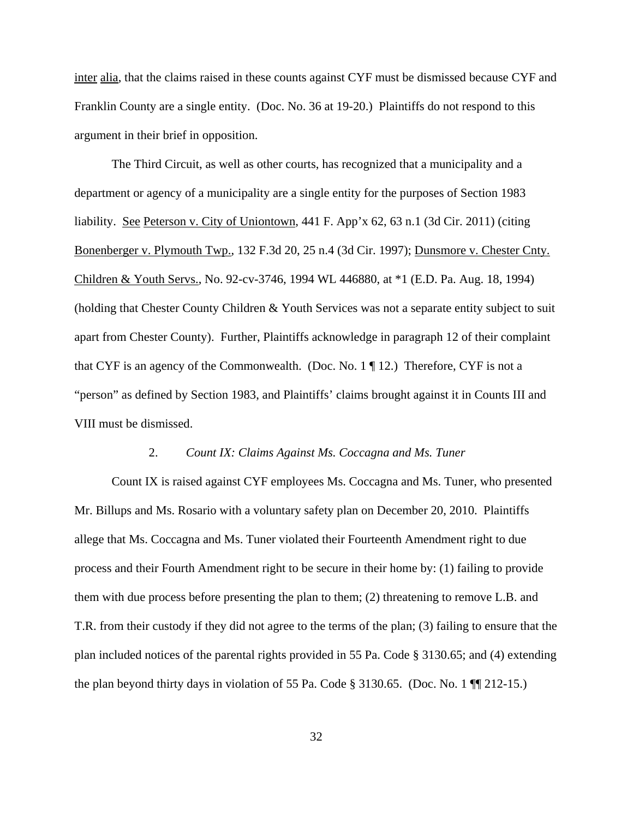inter alia, that the claims raised in these counts against CYF must be dismissed because CYF and Franklin County are a single entity. (Doc. No. 36 at 19-20.) Plaintiffs do not respond to this argument in their brief in opposition.

The Third Circuit, as well as other courts, has recognized that a municipality and a department or agency of a municipality are a single entity for the purposes of Section 1983 liability. See Peterson v. City of Uniontown, 441 F. App'x 62, 63 n.1 (3d Cir. 2011) (citing Bonenberger v. Plymouth Twp., 132 F.3d 20, 25 n.4 (3d Cir. 1997); Dunsmore v. Chester Cnty. Children & Youth Servs., No. 92-cv-3746, 1994 WL 446880, at \*1 (E.D. Pa. Aug. 18, 1994) (holding that Chester County Children & Youth Services was not a separate entity subject to suit apart from Chester County). Further, Plaintiffs acknowledge in paragraph 12 of their complaint that CYF is an agency of the Commonwealth. (Doc. No. 1 ¶ 12.) Therefore, CYF is not a "person" as defined by Section 1983, and Plaintiffs' claims brought against it in Counts III and VIII must be dismissed.

### 2. *Count IX: Claims Against Ms. Coccagna and Ms. Tuner*

Count IX is raised against CYF employees Ms. Coccagna and Ms. Tuner, who presented Mr. Billups and Ms. Rosario with a voluntary safety plan on December 20, 2010. Plaintiffs allege that Ms. Coccagna and Ms. Tuner violated their Fourteenth Amendment right to due process and their Fourth Amendment right to be secure in their home by: (1) failing to provide them with due process before presenting the plan to them; (2) threatening to remove L.B. and T.R. from their custody if they did not agree to the terms of the plan; (3) failing to ensure that the plan included notices of the parental rights provided in 55 Pa. Code § 3130.65; and (4) extending the plan beyond thirty days in violation of 55 Pa. Code  $\S 3130.65$ . (Doc. No. 1  $\P$  212-15.)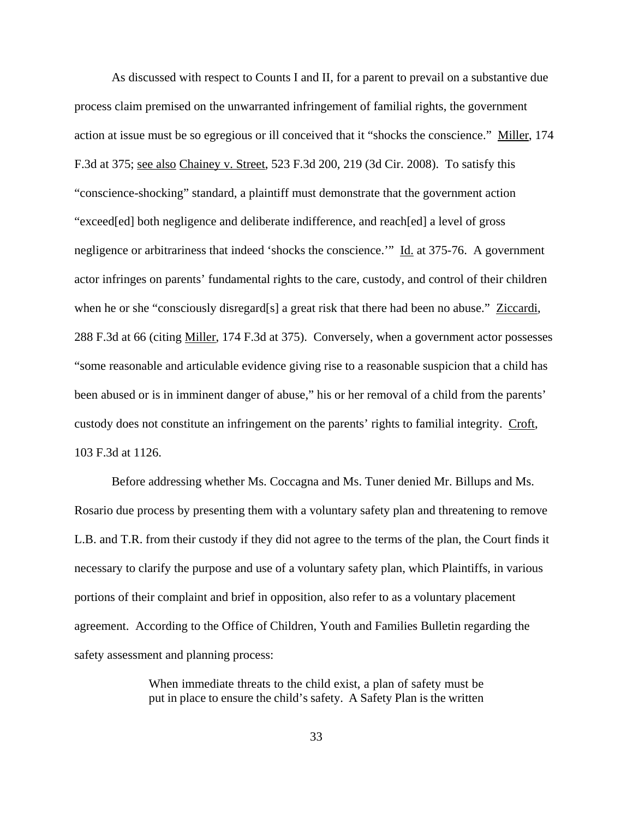As discussed with respect to Counts I and II, for a parent to prevail on a substantive due process claim premised on the unwarranted infringement of familial rights, the government action at issue must be so egregious or ill conceived that it "shocks the conscience." Miller, 174 F.3d at 375; see also Chainey v. Street, 523 F.3d 200, 219 (3d Cir. 2008). To satisfy this "conscience-shocking" standard, a plaintiff must demonstrate that the government action "exceed[ed] both negligence and deliberate indifference, and reach[ed] a level of gross negligence or arbitrariness that indeed 'shocks the conscience.'" Id. at 375-76. A government actor infringes on parents' fundamental rights to the care, custody, and control of their children when he or she "consciously disregard[s] a great risk that there had been no abuse." Ziccardi, 288 F.3d at 66 (citing Miller, 174 F.3d at 375). Conversely, when a government actor possesses "some reasonable and articulable evidence giving rise to a reasonable suspicion that a child has been abused or is in imminent danger of abuse," his or her removal of a child from the parents' custody does not constitute an infringement on the parents' rights to familial integrity. Croft, 103 F.3d at 1126.

Before addressing whether Ms. Coccagna and Ms. Tuner denied Mr. Billups and Ms. Rosario due process by presenting them with a voluntary safety plan and threatening to remove L.B. and T.R. from their custody if they did not agree to the terms of the plan, the Court finds it necessary to clarify the purpose and use of a voluntary safety plan, which Plaintiffs, in various portions of their complaint and brief in opposition, also refer to as a voluntary placement agreement. According to the Office of Children, Youth and Families Bulletin regarding the safety assessment and planning process:

> When immediate threats to the child exist, a plan of safety must be put in place to ensure the child's safety. A Safety Plan is the written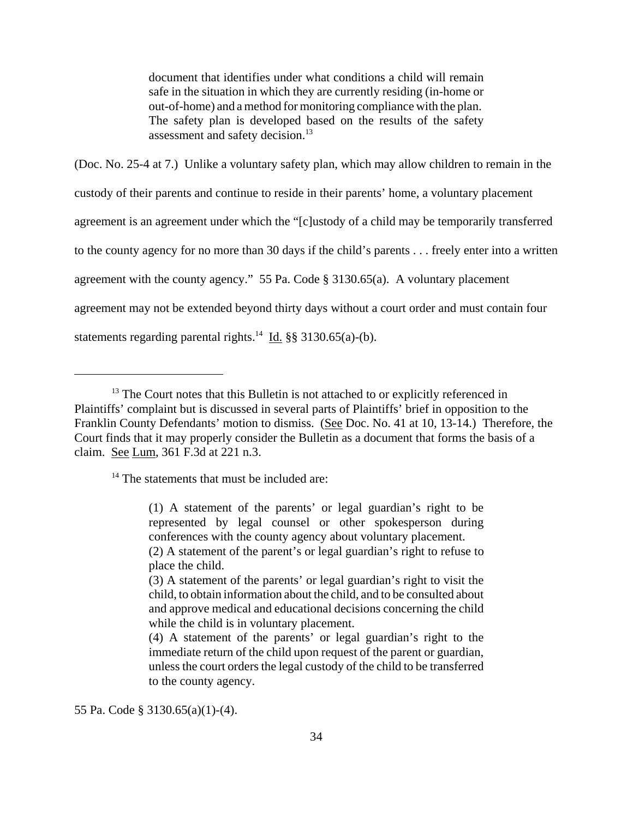document that identifies under what conditions a child will remain safe in the situation in which they are currently residing (in-home or out-of-home) and a method for monitoring compliance with the plan. The safety plan is developed based on the results of the safety assessment and safety decision.<sup>13</sup>

(Doc. No. 25-4 at 7.) Unlike a voluntary safety plan, which may allow children to remain in the custody of their parents and continue to reside in their parents' home, a voluntary placement agreement is an agreement under which the "[c]ustody of a child may be temporarily transferred to the county agency for no more than 30 days if the child's parents . . . freely enter into a written agreement with the county agency." 55 Pa. Code § 3130.65(a). A voluntary placement agreement may not be extended beyond thirty days without a court order and must contain four statements regarding parental rights.<sup>14</sup> Id. §§ 3130.65(a)-(b).

<sup>14</sup> The statements that must be included are:

(1) A statement of the parents' or legal guardian's right to be represented by legal counsel or other spokesperson during conferences with the county agency about voluntary placement. (2) A statement of the parent's or legal guardian's right to refuse to

55 Pa. Code § 3130.65(a)(1)-(4).

 $13$  The Court notes that this Bulletin is not attached to or explicitly referenced in Plaintiffs' complaint but is discussed in several parts of Plaintiffs' brief in opposition to the Franklin County Defendants' motion to dismiss. (See Doc. No. 41 at 10, 13-14.) Therefore, the Court finds that it may properly consider the Bulletin as a document that forms the basis of a claim. See Lum, 361 F.3d at 221 n.3.

place the child. (3) A statement of the parents' or legal guardian's right to visit the child, to obtain information about the child, and to be consulted about and approve medical and educational decisions concerning the child while the child is in voluntary placement.

<sup>(4)</sup> A statement of the parents' or legal guardian's right to the immediate return of the child upon request of the parent or guardian, unless the court orders the legal custody of the child to be transferred to the county agency.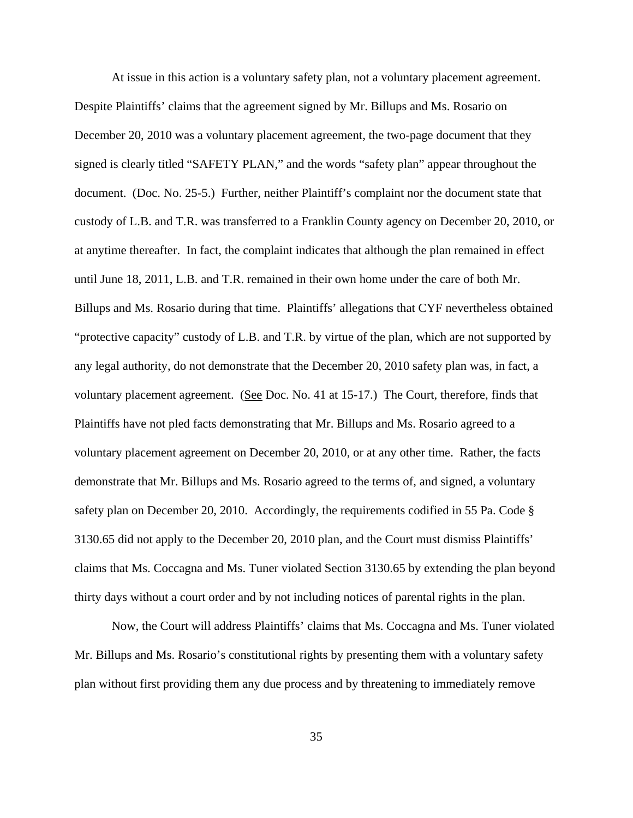At issue in this action is a voluntary safety plan, not a voluntary placement agreement. Despite Plaintiffs' claims that the agreement signed by Mr. Billups and Ms. Rosario on December 20, 2010 was a voluntary placement agreement, the two-page document that they signed is clearly titled "SAFETY PLAN," and the words "safety plan" appear throughout the document. (Doc. No. 25-5.) Further, neither Plaintiff's complaint nor the document state that custody of L.B. and T.R. was transferred to a Franklin County agency on December 20, 2010, or at anytime thereafter. In fact, the complaint indicates that although the plan remained in effect until June 18, 2011, L.B. and T.R. remained in their own home under the care of both Mr. Billups and Ms. Rosario during that time. Plaintiffs' allegations that CYF nevertheless obtained "protective capacity" custody of L.B. and T.R. by virtue of the plan, which are not supported by any legal authority, do not demonstrate that the December 20, 2010 safety plan was, in fact, a voluntary placement agreement. (See Doc. No. 41 at 15-17.) The Court, therefore, finds that Plaintiffs have not pled facts demonstrating that Mr. Billups and Ms. Rosario agreed to a voluntary placement agreement on December 20, 2010, or at any other time. Rather, the facts demonstrate that Mr. Billups and Ms. Rosario agreed to the terms of, and signed, a voluntary safety plan on December 20, 2010. Accordingly, the requirements codified in 55 Pa. Code § 3130.65 did not apply to the December 20, 2010 plan, and the Court must dismiss Plaintiffs' claims that Ms. Coccagna and Ms. Tuner violated Section 3130.65 by extending the plan beyond thirty days without a court order and by not including notices of parental rights in the plan.

Now, the Court will address Plaintiffs' claims that Ms. Coccagna and Ms. Tuner violated Mr. Billups and Ms. Rosario's constitutional rights by presenting them with a voluntary safety plan without first providing them any due process and by threatening to immediately remove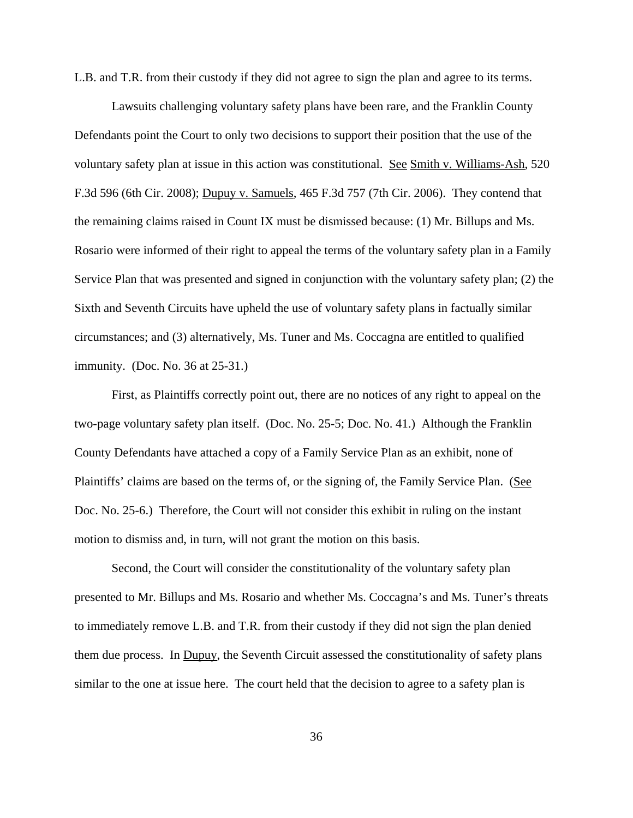L.B. and T.R. from their custody if they did not agree to sign the plan and agree to its terms.

Lawsuits challenging voluntary safety plans have been rare, and the Franklin County Defendants point the Court to only two decisions to support their position that the use of the voluntary safety plan at issue in this action was constitutional. See Smith v. Williams-Ash, 520 F.3d 596 (6th Cir. 2008); Dupuy v. Samuels, 465 F.3d 757 (7th Cir. 2006). They contend that the remaining claims raised in Count IX must be dismissed because: (1) Mr. Billups and Ms. Rosario were informed of their right to appeal the terms of the voluntary safety plan in a Family Service Plan that was presented and signed in conjunction with the voluntary safety plan; (2) the Sixth and Seventh Circuits have upheld the use of voluntary safety plans in factually similar circumstances; and (3) alternatively, Ms. Tuner and Ms. Coccagna are entitled to qualified immunity. (Doc. No. 36 at 25-31.)

First, as Plaintiffs correctly point out, there are no notices of any right to appeal on the two-page voluntary safety plan itself. (Doc. No. 25-5; Doc. No. 41.) Although the Franklin County Defendants have attached a copy of a Family Service Plan as an exhibit, none of Plaintiffs' claims are based on the terms of, or the signing of, the Family Service Plan. (See Doc. No. 25-6.) Therefore, the Court will not consider this exhibit in ruling on the instant motion to dismiss and, in turn, will not grant the motion on this basis.

Second, the Court will consider the constitutionality of the voluntary safety plan presented to Mr. Billups and Ms. Rosario and whether Ms. Coccagna's and Ms. Tuner's threats to immediately remove L.B. and T.R. from their custody if they did not sign the plan denied them due process. In Dupuy, the Seventh Circuit assessed the constitutionality of safety plans similar to the one at issue here. The court held that the decision to agree to a safety plan is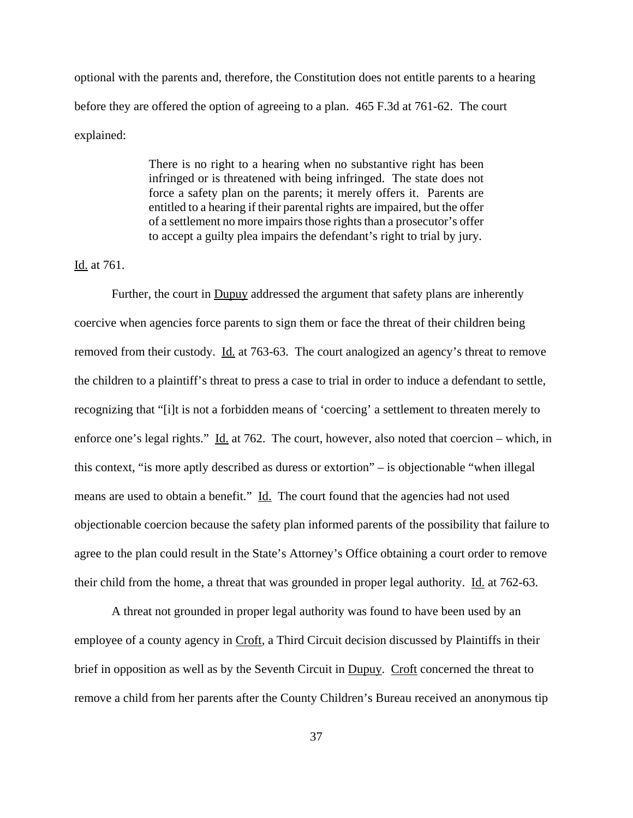optional with the parents and, therefore, the Constitution does not entitle parents to a hearing before they are offered the option of agreeing to a plan. 465 F.3d at 761-62. The court explained:

> There is no right to a hearing when no substantive right has been infringed or is threatened with being infringed. The state does not force a safety plan on the parents; it merely offers it. Parents are entitled to a hearing if their parental rights are impaired, but the offer of a settlement no more impairs those rights than a prosecutor's offer to accept a guilty plea impairs the defendant's right to trial by jury.

Id. at 761.

Further, the court in **Dupuy** addressed the argument that safety plans are inherently coercive when agencies force parents to sign them or face the threat of their children being removed from their custody. Id. at 763-63. The court analogized an agency's threat to remove the children to a plaintiff's threat to press a case to trial in order to induce a defendant to settle, recognizing that "[i]t is not a forbidden means of 'coercing' a settlement to threaten merely to enforce one's legal rights." Id. at 762. The court, however, also noted that coercion – which, in this context, "is more aptly described as duress or extortion" – is objectionable "when illegal means are used to obtain a benefit." Id. The court found that the agencies had not used objectionable coercion because the safety plan informed parents of the possibility that failure to agree to the plan could result in the State's Attorney's Office obtaining a court order to remove their child from the home, a threat that was grounded in proper legal authority. Id. at 762-63.

A threat not grounded in proper legal authority was found to have been used by an employee of a county agency in Croft, a Third Circuit decision discussed by Plaintiffs in their brief in opposition as well as by the Seventh Circuit in Dupuy. Croft concerned the threat to remove a child from her parents after the County Children's Bureau received an anonymous tip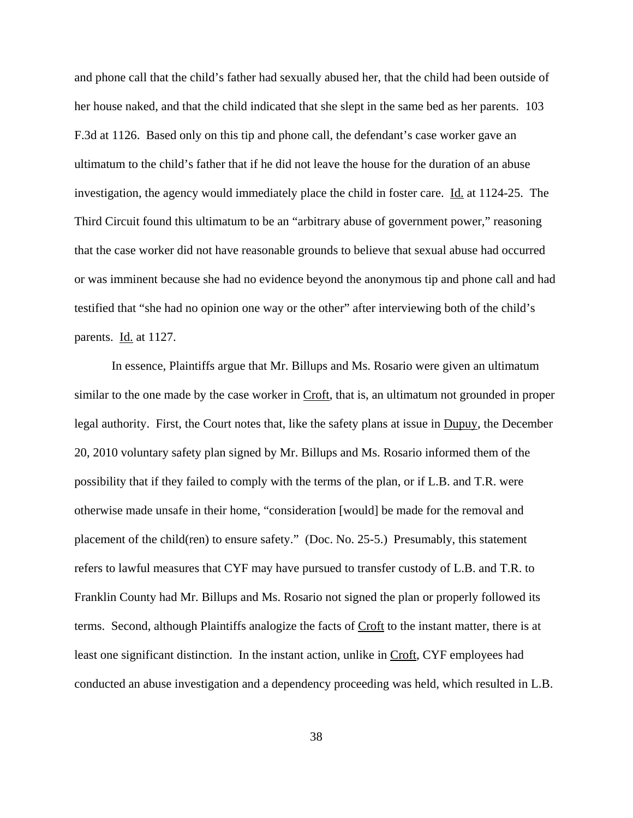and phone call that the child's father had sexually abused her, that the child had been outside of her house naked, and that the child indicated that she slept in the same bed as her parents. 103 F.3d at 1126. Based only on this tip and phone call, the defendant's case worker gave an ultimatum to the child's father that if he did not leave the house for the duration of an abuse investigation, the agency would immediately place the child in foster care. Id. at 1124-25. The Third Circuit found this ultimatum to be an "arbitrary abuse of government power," reasoning that the case worker did not have reasonable grounds to believe that sexual abuse had occurred or was imminent because she had no evidence beyond the anonymous tip and phone call and had testified that "she had no opinion one way or the other" after interviewing both of the child's parents. Id. at 1127.

In essence, Plaintiffs argue that Mr. Billups and Ms. Rosario were given an ultimatum similar to the one made by the case worker in Croft, that is, an ultimatum not grounded in proper legal authority. First, the Court notes that, like the safety plans at issue in Dupuy, the December 20, 2010 voluntary safety plan signed by Mr. Billups and Ms. Rosario informed them of the possibility that if they failed to comply with the terms of the plan, or if L.B. and T.R. were otherwise made unsafe in their home, "consideration [would] be made for the removal and placement of the child(ren) to ensure safety." (Doc. No. 25-5.) Presumably, this statement refers to lawful measures that CYF may have pursued to transfer custody of L.B. and T.R. to Franklin County had Mr. Billups and Ms. Rosario not signed the plan or properly followed its terms. Second, although Plaintiffs analogize the facts of Croft to the instant matter, there is at least one significant distinction. In the instant action, unlike in Croft, CYF employees had conducted an abuse investigation and a dependency proceeding was held, which resulted in L.B.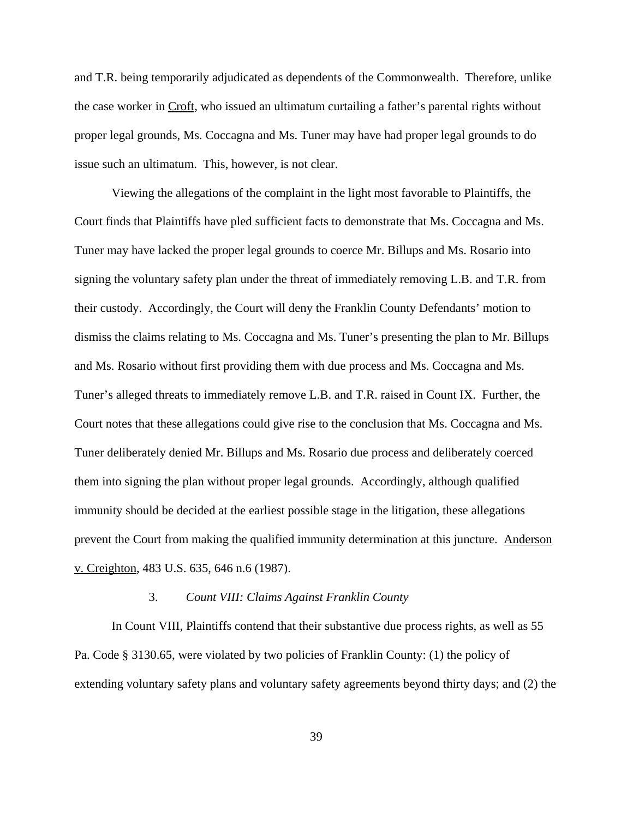and T.R. being temporarily adjudicated as dependents of the Commonwealth. Therefore, unlike the case worker in Croft, who issued an ultimatum curtailing a father's parental rights without proper legal grounds, Ms. Coccagna and Ms. Tuner may have had proper legal grounds to do issue such an ultimatum. This, however, is not clear.

Viewing the allegations of the complaint in the light most favorable to Plaintiffs, the Court finds that Plaintiffs have pled sufficient facts to demonstrate that Ms. Coccagna and Ms. Tuner may have lacked the proper legal grounds to coerce Mr. Billups and Ms. Rosario into signing the voluntary safety plan under the threat of immediately removing L.B. and T.R. from their custody. Accordingly, the Court will deny the Franklin County Defendants' motion to dismiss the claims relating to Ms. Coccagna and Ms. Tuner's presenting the plan to Mr. Billups and Ms. Rosario without first providing them with due process and Ms. Coccagna and Ms. Tuner's alleged threats to immediately remove L.B. and T.R. raised in Count IX. Further, the Court notes that these allegations could give rise to the conclusion that Ms. Coccagna and Ms. Tuner deliberately denied Mr. Billups and Ms. Rosario due process and deliberately coerced them into signing the plan without proper legal grounds. Accordingly, although qualified immunity should be decided at the earliest possible stage in the litigation, these allegations prevent the Court from making the qualified immunity determination at this juncture. Anderson v. Creighton, 483 U.S. 635, 646 n.6 (1987).

#### 3. *Count VIII: Claims Against Franklin County*

In Count VIII, Plaintiffs contend that their substantive due process rights, as well as 55 Pa. Code § 3130.65, were violated by two policies of Franklin County: (1) the policy of extending voluntary safety plans and voluntary safety agreements beyond thirty days; and (2) the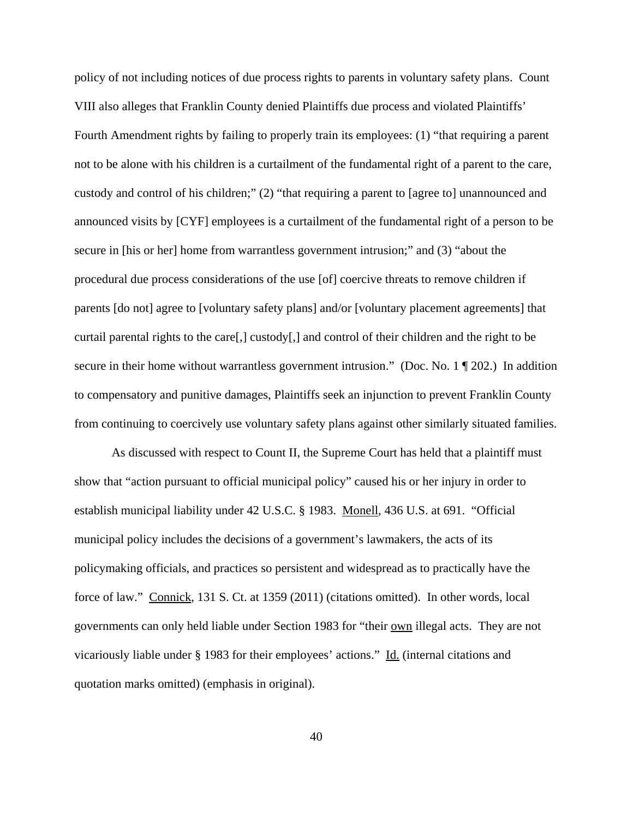policy of not including notices of due process rights to parents in voluntary safety plans. Count VIII also alleges that Franklin County denied Plaintiffs due process and violated Plaintiffs' Fourth Amendment rights by failing to properly train its employees: (1) "that requiring a parent not to be alone with his children is a curtailment of the fundamental right of a parent to the care, custody and control of his children;" (2) "that requiring a parent to [agree to] unannounced and announced visits by [CYF] employees is a curtailment of the fundamental right of a person to be secure in [his or her] home from warrantless government intrusion;" and (3) "about the procedural due process considerations of the use [of] coercive threats to remove children if parents [do not] agree to [voluntary safety plans] and/or [voluntary placement agreements] that curtail parental rights to the care[,] custody[,] and control of their children and the right to be secure in their home without warrantless government intrusion." (Doc. No. 1 ¶ 202.) In addition to compensatory and punitive damages, Plaintiffs seek an injunction to prevent Franklin County from continuing to coercively use voluntary safety plans against other similarly situated families.

As discussed with respect to Count II, the Supreme Court has held that a plaintiff must show that "action pursuant to official municipal policy" caused his or her injury in order to establish municipal liability under 42 U.S.C. § 1983. Monell, 436 U.S. at 691. "Official municipal policy includes the decisions of a government's lawmakers, the acts of its policymaking officials, and practices so persistent and widespread as to practically have the force of law." Connick, 131 S. Ct. at 1359 (2011) (citations omitted). In other words, local governments can only held liable under Section 1983 for "their own illegal acts. They are not vicariously liable under § 1983 for their employees' actions." Id. (internal citations and quotation marks omitted) (emphasis in original).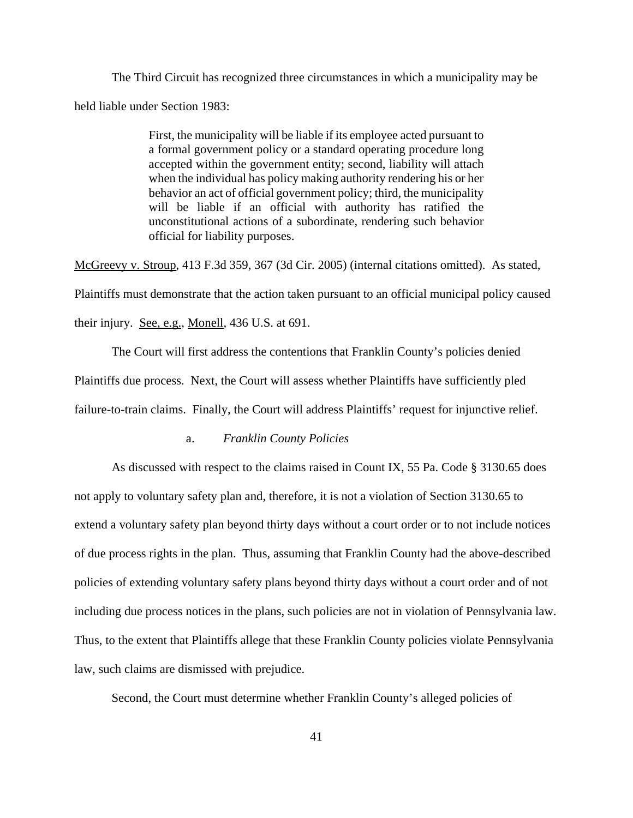The Third Circuit has recognized three circumstances in which a municipality may be held liable under Section 1983:

> First, the municipality will be liable if its employee acted pursuant to a formal government policy or a standard operating procedure long accepted within the government entity; second, liability will attach when the individual has policy making authority rendering his or her behavior an act of official government policy; third, the municipality will be liable if an official with authority has ratified the unconstitutional actions of a subordinate, rendering such behavior official for liability purposes.

McGreevy v. Stroup, 413 F.3d 359, 367 (3d Cir. 2005) (internal citations omitted). As stated, Plaintiffs must demonstrate that the action taken pursuant to an official municipal policy caused their injury. See, e.g., Monell, 436 U.S. at 691.

The Court will first address the contentions that Franklin County's policies denied Plaintiffs due process. Next, the Court will assess whether Plaintiffs have sufficiently pled failure-to-train claims. Finally, the Court will address Plaintiffs' request for injunctive relief.

### a. *Franklin County Policies*

As discussed with respect to the claims raised in Count IX, 55 Pa. Code § 3130.65 does not apply to voluntary safety plan and, therefore, it is not a violation of Section 3130.65 to extend a voluntary safety plan beyond thirty days without a court order or to not include notices of due process rights in the plan. Thus, assuming that Franklin County had the above-described policies of extending voluntary safety plans beyond thirty days without a court order and of not including due process notices in the plans, such policies are not in violation of Pennsylvania law. Thus, to the extent that Plaintiffs allege that these Franklin County policies violate Pennsylvania law, such claims are dismissed with prejudice.

Second, the Court must determine whether Franklin County's alleged policies of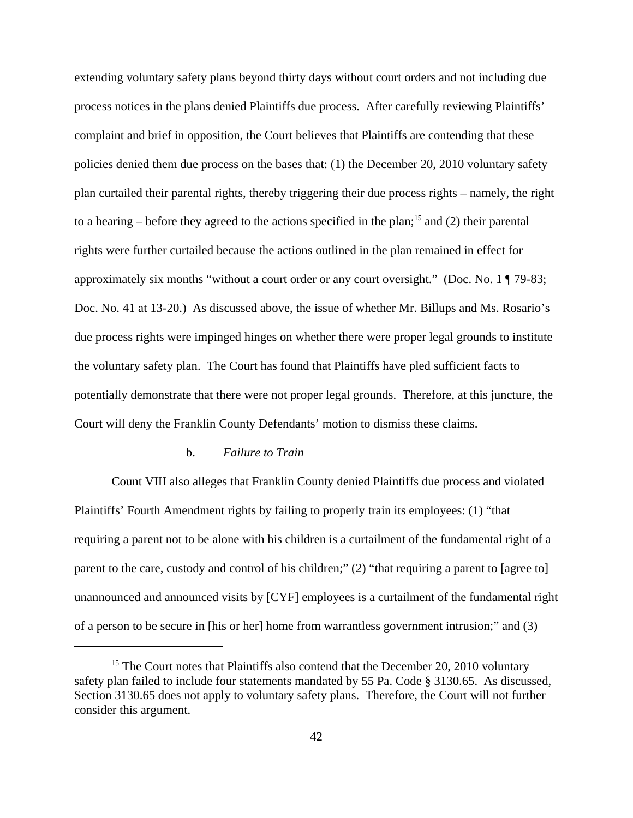extending voluntary safety plans beyond thirty days without court orders and not including due process notices in the plans denied Plaintiffs due process. After carefully reviewing Plaintiffs' complaint and brief in opposition, the Court believes that Plaintiffs are contending that these policies denied them due process on the bases that: (1) the December 20, 2010 voluntary safety plan curtailed their parental rights, thereby triggering their due process rights – namely, the right to a hearing – before they agreed to the actions specified in the plan;<sup>15</sup> and (2) their parental rights were further curtailed because the actions outlined in the plan remained in effect for approximately six months "without a court order or any court oversight." (Doc. No. 1 ¶ 79-83; Doc. No. 41 at 13-20.) As discussed above, the issue of whether Mr. Billups and Ms. Rosario's due process rights were impinged hinges on whether there were proper legal grounds to institute the voluntary safety plan. The Court has found that Plaintiffs have pled sufficient facts to potentially demonstrate that there were not proper legal grounds. Therefore, at this juncture, the Court will deny the Franklin County Defendants' motion to dismiss these claims.

#### b. *Failure to Train*

Count VIII also alleges that Franklin County denied Plaintiffs due process and violated Plaintiffs' Fourth Amendment rights by failing to properly train its employees: (1) "that requiring a parent not to be alone with his children is a curtailment of the fundamental right of a parent to the care, custody and control of his children;" (2) "that requiring a parent to [agree to] unannounced and announced visits by [CYF] employees is a curtailment of the fundamental right of a person to be secure in [his or her] home from warrantless government intrusion;" and (3)

<sup>&</sup>lt;sup>15</sup> The Court notes that Plaintiffs also contend that the December 20, 2010 voluntary safety plan failed to include four statements mandated by 55 Pa. Code § 3130.65. As discussed, Section 3130.65 does not apply to voluntary safety plans. Therefore, the Court will not further consider this argument.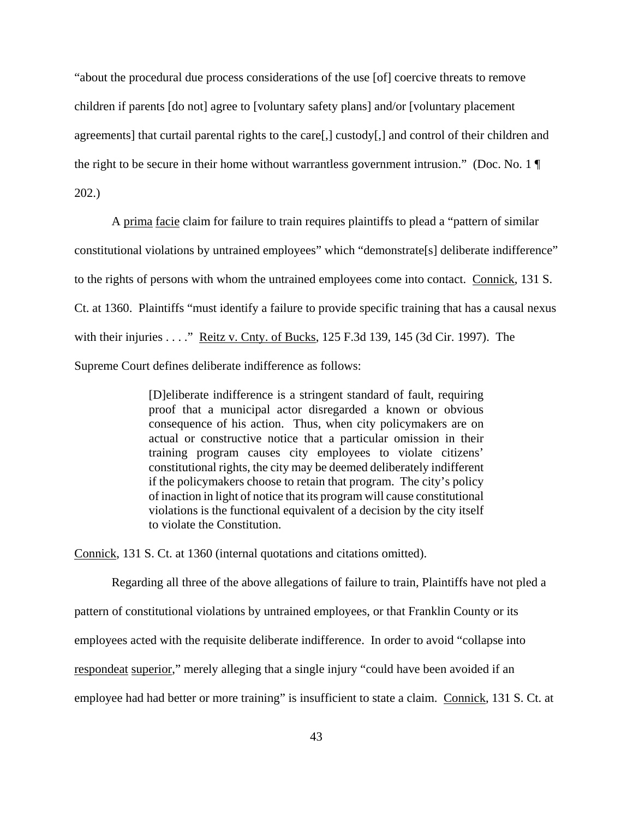"about the procedural due process considerations of the use [of] coercive threats to remove children if parents [do not] agree to [voluntary safety plans] and/or [voluntary placement agreements] that curtail parental rights to the care[,] custody[,] and control of their children and the right to be secure in their home without warrantless government intrusion." (Doc. No. 1 ¶ 202.)

A prima facie claim for failure to train requires plaintiffs to plead a "pattern of similar constitutional violations by untrained employees" which "demonstrate[s] deliberate indifference" to the rights of persons with whom the untrained employees come into contact. Connick, 131 S. Ct. at 1360. Plaintiffs "must identify a failure to provide specific training that has a causal nexus with their injuries . . . ." Reitz v. Cnty. of Bucks, 125 F.3d 139, 145 (3d Cir. 1997). The Supreme Court defines deliberate indifference as follows:

> [D]eliberate indifference is a stringent standard of fault, requiring proof that a municipal actor disregarded a known or obvious consequence of his action. Thus, when city policymakers are on actual or constructive notice that a particular omission in their training program causes city employees to violate citizens' constitutional rights, the city may be deemed deliberately indifferent if the policymakers choose to retain that program. The city's policy of inaction in light of notice that its program will cause constitutional violations is the functional equivalent of a decision by the city itself to violate the Constitution.

Connick, 131 S. Ct. at 1360 (internal quotations and citations omitted).

Regarding all three of the above allegations of failure to train, Plaintiffs have not pled a

pattern of constitutional violations by untrained employees, or that Franklin County or its

employees acted with the requisite deliberate indifference. In order to avoid "collapse into

respondeat superior," merely alleging that a single injury "could have been avoided if an

employee had had better or more training" is insufficient to state a claim. Connick, 131 S. Ct. at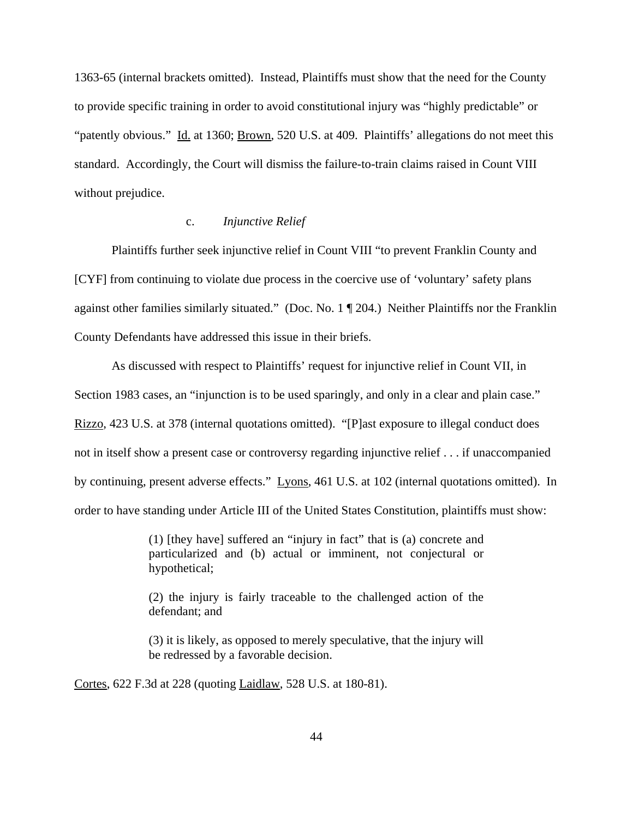1363-65 (internal brackets omitted). Instead, Plaintiffs must show that the need for the County to provide specific training in order to avoid constitutional injury was "highly predictable" or "patently obvious." Id. at 1360; Brown, 520 U.S. at 409. Plaintiffs' allegations do not meet this standard. Accordingly, the Court will dismiss the failure-to-train claims raised in Count VIII without prejudice.

### c. *Injunctive Relief*

Plaintiffs further seek injunctive relief in Count VIII "to prevent Franklin County and [CYF] from continuing to violate due process in the coercive use of 'voluntary' safety plans against other families similarly situated." (Doc. No. 1 ¶ 204.) Neither Plaintiffs nor the Franklin County Defendants have addressed this issue in their briefs.

As discussed with respect to Plaintiffs' request for injunctive relief in Count VII, in Section 1983 cases, an "injunction is to be used sparingly, and only in a clear and plain case." Rizzo, 423 U.S. at 378 (internal quotations omitted). "[P]ast exposure to illegal conduct does not in itself show a present case or controversy regarding injunctive relief . . . if unaccompanied by continuing, present adverse effects." Lyons, 461 U.S. at 102 (internal quotations omitted). In order to have standing under Article III of the United States Constitution, plaintiffs must show:

> (1) [they have] suffered an "injury in fact" that is (a) concrete and particularized and (b) actual or imminent, not conjectural or hypothetical;

> (2) the injury is fairly traceable to the challenged action of the defendant; and

> (3) it is likely, as opposed to merely speculative, that the injury will be redressed by a favorable decision.

Cortes, 622 F.3d at 228 (quoting Laidlaw, 528 U.S. at 180-81).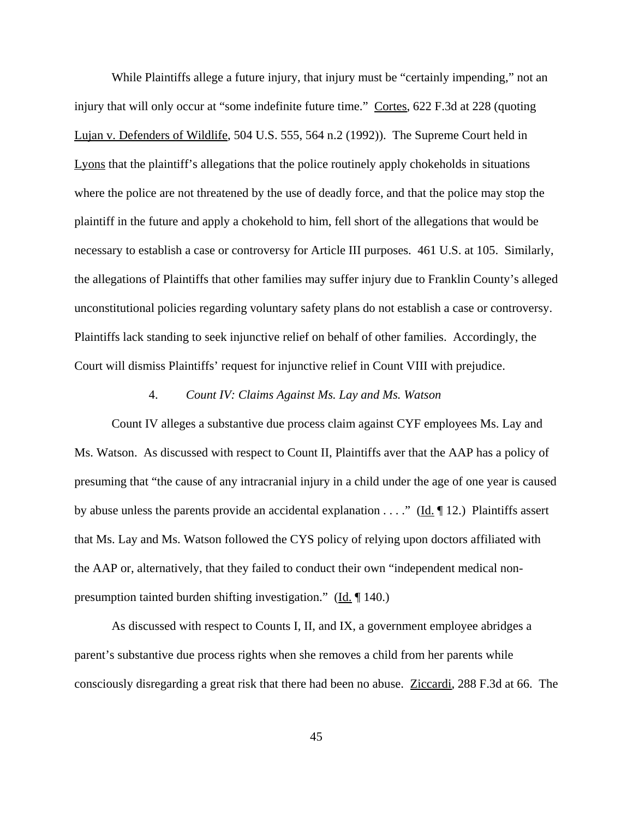While Plaintiffs allege a future injury, that injury must be "certainly impending," not an injury that will only occur at "some indefinite future time." Cortes, 622 F.3d at 228 (quoting Lujan v. Defenders of Wildlife, 504 U.S. 555, 564 n.2 (1992)). The Supreme Court held in Lyons that the plaintiff's allegations that the police routinely apply chokeholds in situations where the police are not threatened by the use of deadly force, and that the police may stop the plaintiff in the future and apply a chokehold to him, fell short of the allegations that would be necessary to establish a case or controversy for Article III purposes. 461 U.S. at 105. Similarly, the allegations of Plaintiffs that other families may suffer injury due to Franklin County's alleged unconstitutional policies regarding voluntary safety plans do not establish a case or controversy. Plaintiffs lack standing to seek injunctive relief on behalf of other families. Accordingly, the Court will dismiss Plaintiffs' request for injunctive relief in Count VIII with prejudice.

#### 4. *Count IV: Claims Against Ms. Lay and Ms. Watson*

Count IV alleges a substantive due process claim against CYF employees Ms. Lay and Ms. Watson. As discussed with respect to Count II, Plaintiffs aver that the AAP has a policy of presuming that "the cause of any intracranial injury in a child under the age of one year is caused by abuse unless the parents provide an accidental explanation  $\dots$ ." (Id. 12.) Plaintiffs assert that Ms. Lay and Ms. Watson followed the CYS policy of relying upon doctors affiliated with the AAP or, alternatively, that they failed to conduct their own "independent medical nonpresumption tainted burden shifting investigation." (Id. ¶ 140.)

As discussed with respect to Counts I, II, and IX, a government employee abridges a parent's substantive due process rights when she removes a child from her parents while consciously disregarding a great risk that there had been no abuse. Ziccardi, 288 F.3d at 66. The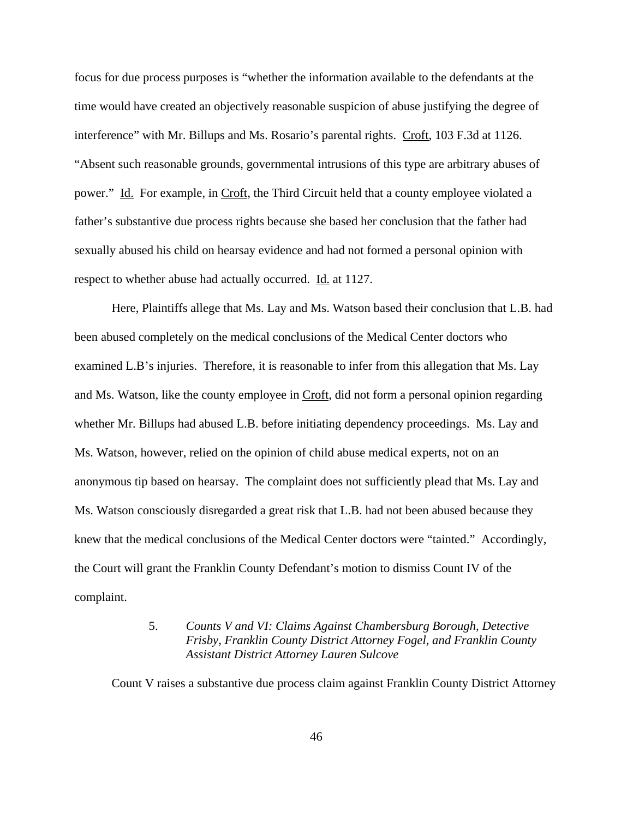focus for due process purposes is "whether the information available to the defendants at the time would have created an objectively reasonable suspicion of abuse justifying the degree of interference" with Mr. Billups and Ms. Rosario's parental rights. Croft, 103 F.3d at 1126. "Absent such reasonable grounds, governmental intrusions of this type are arbitrary abuses of power." Id. For example, in Croft, the Third Circuit held that a county employee violated a father's substantive due process rights because she based her conclusion that the father had sexually abused his child on hearsay evidence and had not formed a personal opinion with respect to whether abuse had actually occurred. Id. at 1127.

Here, Plaintiffs allege that Ms. Lay and Ms. Watson based their conclusion that L.B. had been abused completely on the medical conclusions of the Medical Center doctors who examined L.B's injuries. Therefore, it is reasonable to infer from this allegation that Ms. Lay and Ms. Watson, like the county employee in Croft, did not form a personal opinion regarding whether Mr. Billups had abused L.B. before initiating dependency proceedings. Ms. Lay and Ms. Watson, however, relied on the opinion of child abuse medical experts, not on an anonymous tip based on hearsay. The complaint does not sufficiently plead that Ms. Lay and Ms. Watson consciously disregarded a great risk that L.B. had not been abused because they knew that the medical conclusions of the Medical Center doctors were "tainted." Accordingly, the Court will grant the Franklin County Defendant's motion to dismiss Count IV of the complaint.

# 5. *Counts V and VI: Claims Against Chambersburg Borough, Detective Frisby, Franklin County District Attorney Fogel, and Franklin County Assistant District Attorney Lauren Sulcove*

Count V raises a substantive due process claim against Franklin County District Attorney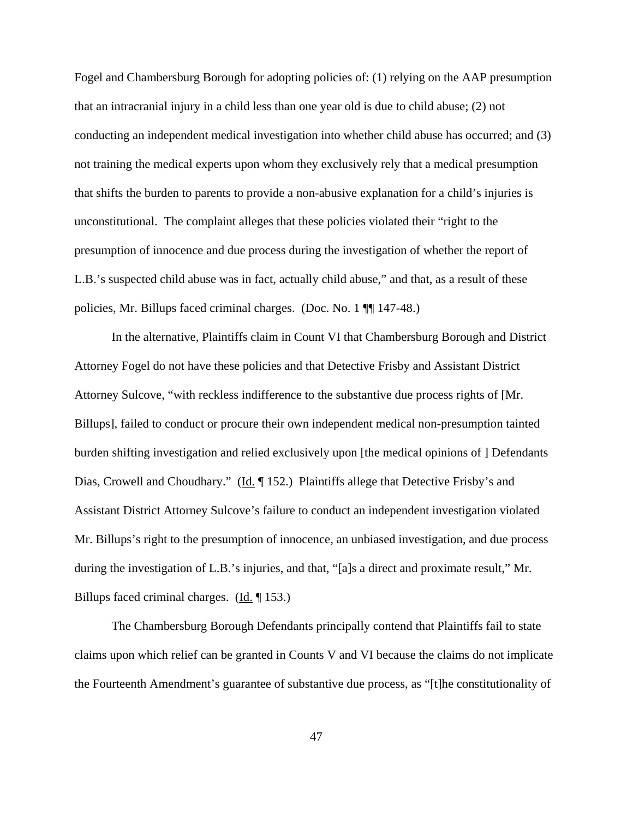Fogel and Chambersburg Borough for adopting policies of: (1) relying on the AAP presumption that an intracranial injury in a child less than one year old is due to child abuse; (2) not conducting an independent medical investigation into whether child abuse has occurred; and (3) not training the medical experts upon whom they exclusively rely that a medical presumption that shifts the burden to parents to provide a non-abusive explanation for a child's injuries is unconstitutional. The complaint alleges that these policies violated their "right to the presumption of innocence and due process during the investigation of whether the report of L.B.'s suspected child abuse was in fact, actually child abuse," and that, as a result of these policies, Mr. Billups faced criminal charges. (Doc. No. 1 ¶¶ 147-48.)

In the alternative, Plaintiffs claim in Count VI that Chambersburg Borough and District Attorney Fogel do not have these policies and that Detective Frisby and Assistant District Attorney Sulcove, "with reckless indifference to the substantive due process rights of [Mr. Billups], failed to conduct or procure their own independent medical non-presumption tainted burden shifting investigation and relied exclusively upon [the medical opinions of ] Defendants Dias, Crowell and Choudhary." (Id. 152.) Plaintiffs allege that Detective Frisby's and Assistant District Attorney Sulcove's failure to conduct an independent investigation violated Mr. Billups's right to the presumption of innocence, an unbiased investigation, and due process during the investigation of L.B.'s injuries, and that, "[a]s a direct and proximate result," Mr. Billups faced criminal charges. (Id. ¶ 153.)

The Chambersburg Borough Defendants principally contend that Plaintiffs fail to state claims upon which relief can be granted in Counts V and VI because the claims do not implicate the Fourteenth Amendment's guarantee of substantive due process, as "[t]he constitutionality of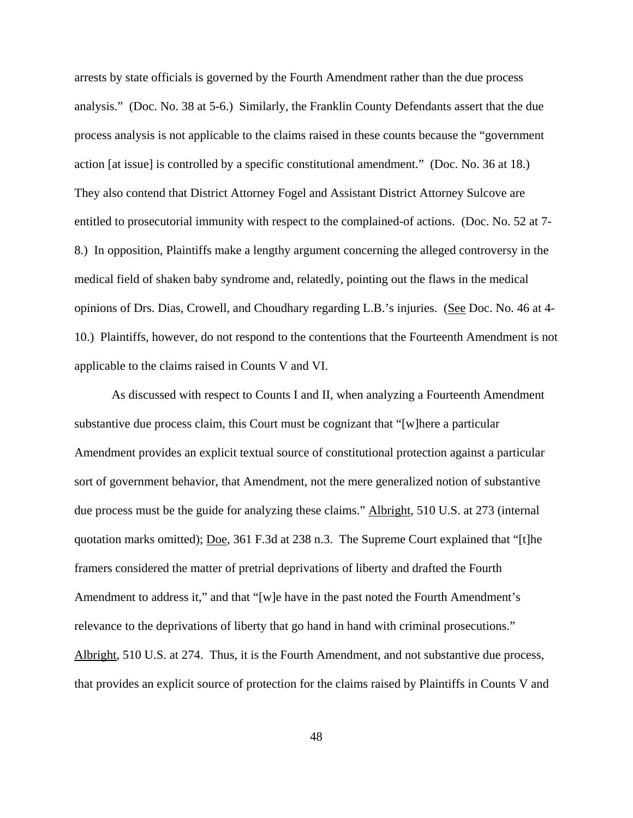arrests by state officials is governed by the Fourth Amendment rather than the due process analysis." (Doc. No. 38 at 5-6.) Similarly, the Franklin County Defendants assert that the due process analysis is not applicable to the claims raised in these counts because the "government action [at issue] is controlled by a specific constitutional amendment." (Doc. No. 36 at 18.) They also contend that District Attorney Fogel and Assistant District Attorney Sulcove are entitled to prosecutorial immunity with respect to the complained-of actions. (Doc. No. 52 at 7- 8.) In opposition, Plaintiffs make a lengthy argument concerning the alleged controversy in the medical field of shaken baby syndrome and, relatedly, pointing out the flaws in the medical opinions of Drs. Dias, Crowell, and Choudhary regarding L.B.'s injuries. (See Doc. No. 46 at 4- 10.) Plaintiffs, however, do not respond to the contentions that the Fourteenth Amendment is not applicable to the claims raised in Counts V and VI.

As discussed with respect to Counts I and II, when analyzing a Fourteenth Amendment substantive due process claim, this Court must be cognizant that "[w]here a particular Amendment provides an explicit textual source of constitutional protection against a particular sort of government behavior, that Amendment, not the mere generalized notion of substantive due process must be the guide for analyzing these claims." Albright, 510 U.S. at 273 (internal quotation marks omitted); <u>Doe</u>, 361 F.3d at 238 n.3. The Supreme Court explained that "[t]he framers considered the matter of pretrial deprivations of liberty and drafted the Fourth Amendment to address it," and that "[w]e have in the past noted the Fourth Amendment's relevance to the deprivations of liberty that go hand in hand with criminal prosecutions." Albright, 510 U.S. at 274. Thus, it is the Fourth Amendment, and not substantive due process, that provides an explicit source of protection for the claims raised by Plaintiffs in Counts V and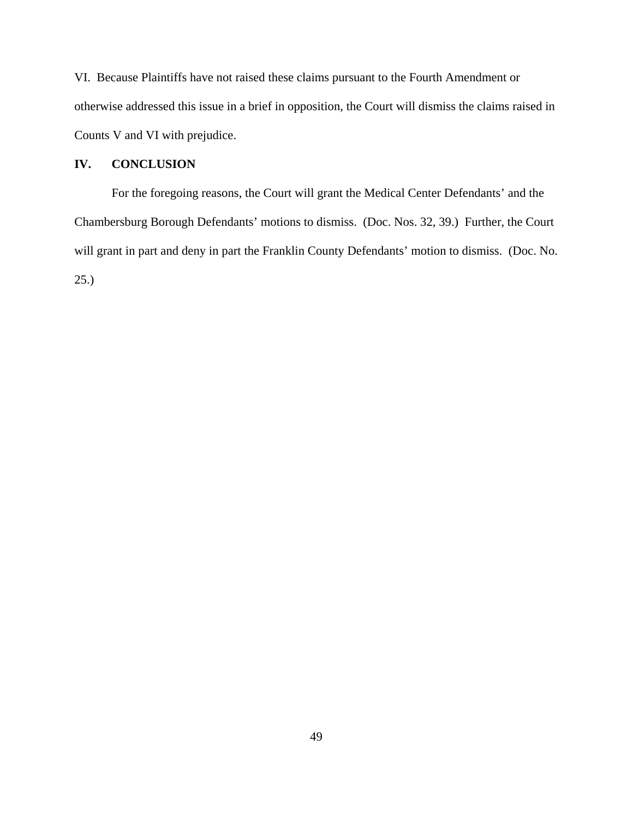VI. Because Plaintiffs have not raised these claims pursuant to the Fourth Amendment or otherwise addressed this issue in a brief in opposition, the Court will dismiss the claims raised in Counts V and VI with prejudice.

# **IV. CONCLUSION**

For the foregoing reasons, the Court will grant the Medical Center Defendants' and the Chambersburg Borough Defendants' motions to dismiss. (Doc. Nos. 32, 39.) Further, the Court will grant in part and deny in part the Franklin County Defendants' motion to dismiss. (Doc. No. 25.)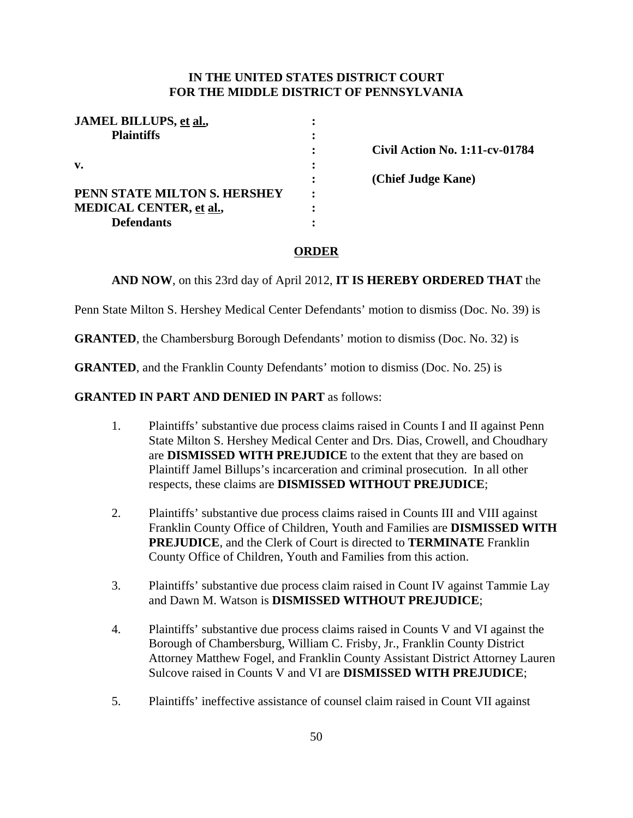# **IN THE UNITED STATES DISTRICT COURT FOR THE MIDDLE DISTRICT OF PENNSYLVANIA**

|   | <b>Civil Action No. 1:11-cv-01784</b> |
|---|---------------------------------------|
|   |                                       |
|   | (Chief Judge Kane)                    |
| ٠ |                                       |
|   |                                       |
|   |                                       |
|   |                                       |

## **ORDER**

**AND NOW**, on this 23rd day of April 2012, **IT IS HEREBY ORDERED THAT** the

Penn State Milton S. Hershey Medical Center Defendants' motion to dismiss (Doc. No. 39) is

**GRANTED**, the Chambersburg Borough Defendants' motion to dismiss (Doc. No. 32) is

**GRANTED**, and the Franklin County Defendants' motion to dismiss (Doc. No. 25) is

## **GRANTED IN PART AND DENIED IN PART** as follows:

- 1. Plaintiffs' substantive due process claims raised in Counts I and II against Penn State Milton S. Hershey Medical Center and Drs. Dias, Crowell, and Choudhary are **DISMISSED WITH PREJUDICE** to the extent that they are based on Plaintiff Jamel Billups's incarceration and criminal prosecution. In all other respects, these claims are **DISMISSED WITHOUT PREJUDICE**;
- 2. Plaintiffs' substantive due process claims raised in Counts III and VIII against Franklin County Office of Children, Youth and Families are **DISMISSED WITH PREJUDICE**, and the Clerk of Court is directed to **TERMINATE** Franklin County Office of Children, Youth and Families from this action.
- 3. Plaintiffs' substantive due process claim raised in Count IV against Tammie Lay and Dawn M. Watson is **DISMISSED WITHOUT PREJUDICE**;
- 4. Plaintiffs' substantive due process claims raised in Counts V and VI against the Borough of Chambersburg, William C. Frisby, Jr., Franklin County District Attorney Matthew Fogel, and Franklin County Assistant District Attorney Lauren Sulcove raised in Counts V and VI are **DISMISSED WITH PREJUDICE**;
- 5. Plaintiffs' ineffective assistance of counsel claim raised in Count VII against